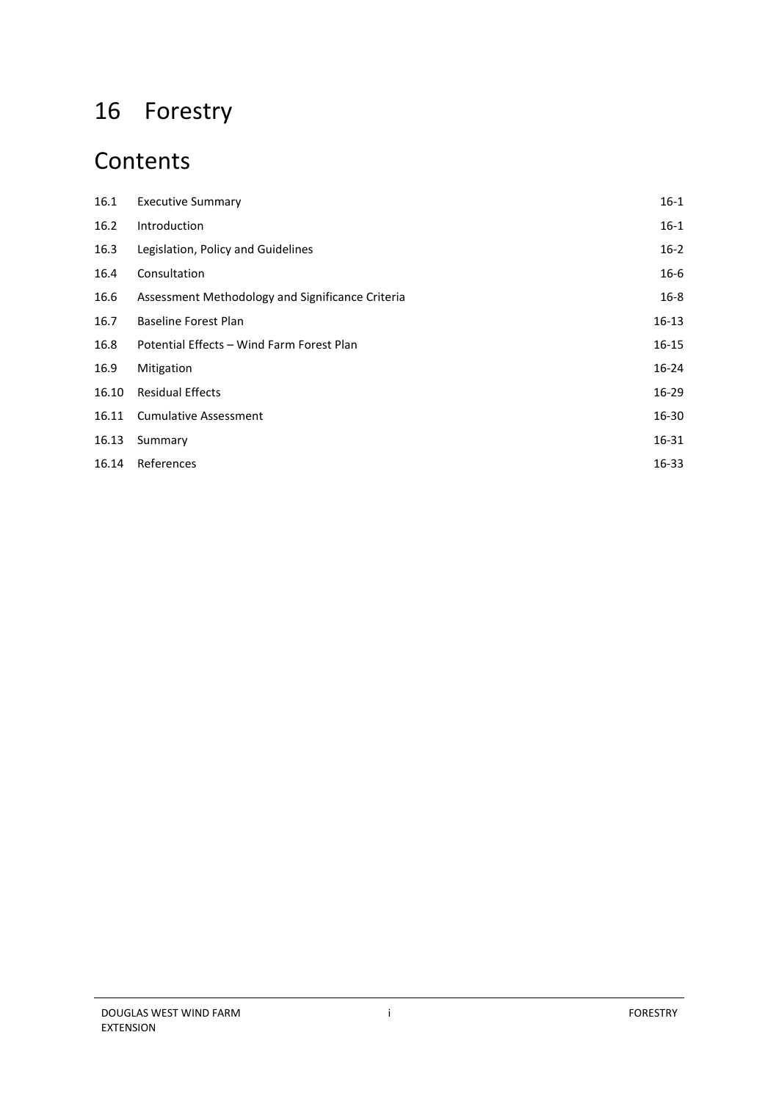# 16 Forestry

# **Contents**

| 16.1  | <b>Executive Summary</b>                         | $16-1$    |
|-------|--------------------------------------------------|-----------|
| 16.2  | Introduction                                     | $16-1$    |
| 16.3  | Legislation, Policy and Guidelines               | $16-2$    |
| 16.4  | Consultation                                     | $16 - 6$  |
| 16.6  | Assessment Methodology and Significance Criteria | $16 - 8$  |
| 16.7  | <b>Baseline Forest Plan</b>                      | $16-13$   |
| 16.8  | Potential Effects - Wind Farm Forest Plan        | $16 - 15$ |
| 16.9  | Mitigation                                       | $16 - 24$ |
| 16.10 | <b>Residual Effects</b>                          | $16 - 29$ |
| 16.11 | <b>Cumulative Assessment</b>                     | 16-30     |
| 16.13 | Summary                                          | 16-31     |
| 16.14 | References                                       | 16-33     |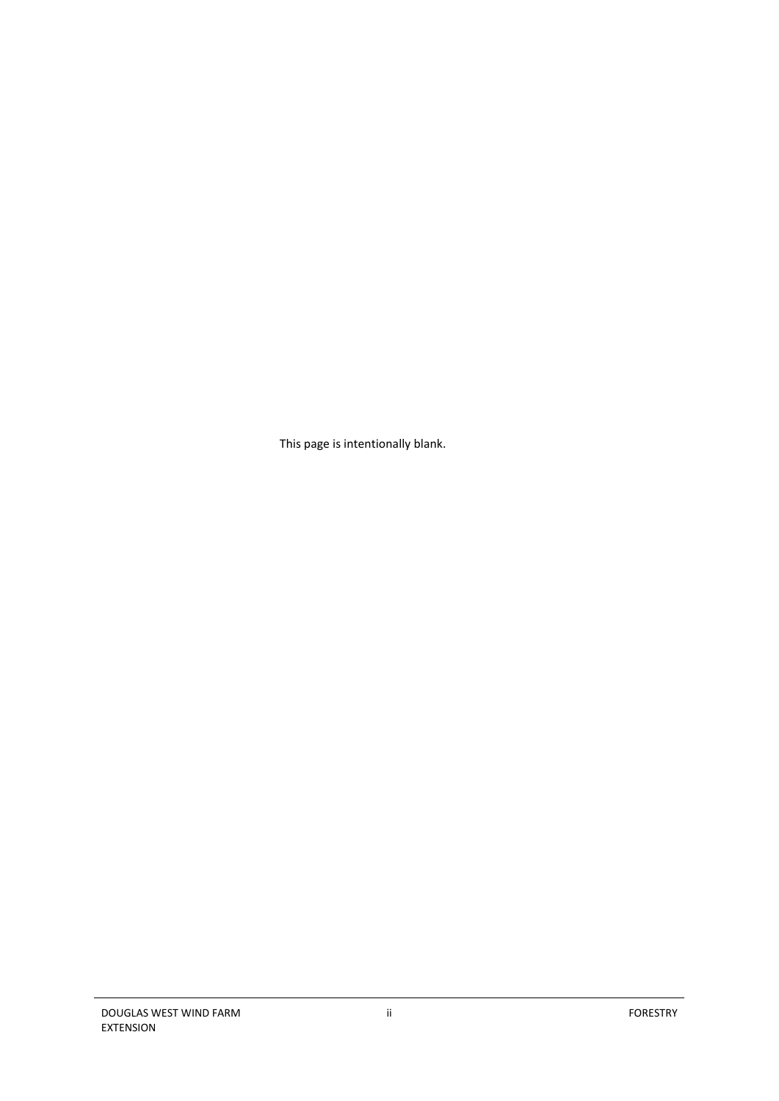This page is intentionally blank.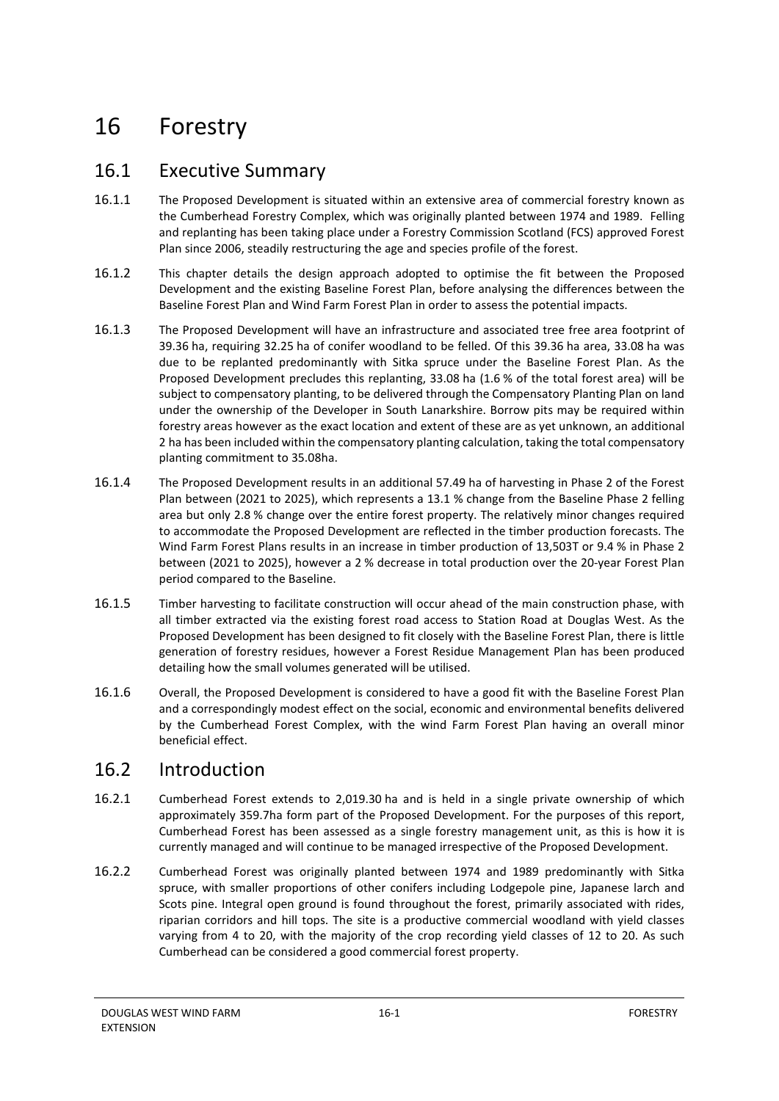# 16 Forestry

# <span id="page-2-0"></span>16.1 Executive Summary

- 16.1.1 The Proposed Development is situated within an extensive area of commercial forestry known as the Cumberhead Forestry Complex, which was originally planted between 1974 and 1989. Felling and replanting has been taking place under a Forestry Commission Scotland (FCS) approved Forest Plan since 2006, steadily restructuring the age and species profile of the forest.
- 16.1.2 This chapter details the design approach adopted to optimise the fit between the Proposed Development and the existing Baseline Forest Plan, before analysing the differences between the Baseline Forest Plan and Wind Farm Forest Plan in order to assess the potential impacts.
- 16.1.3 The Proposed Development will have an infrastructure and associated tree free area footprint of 39.36 ha, requiring 32.25 ha of conifer woodland to be felled. Of this 39.36 ha area, 33.08 ha was due to be replanted predominantly with Sitka spruce under the Baseline Forest Plan. As the Proposed Development precludes this replanting, 33.08 ha (1.6 % of the total forest area) will be subject to compensatory planting, to be delivered through the Compensatory Planting Plan on land under the ownership of the Developer in South Lanarkshire. Borrow pits may be required within forestry areas however as the exact location and extent of these are as yet unknown, an additional 2 ha has been included within the compensatory planting calculation, taking the total compensatory planting commitment to 35.08ha.
- 16.1.4 The Proposed Development results in an additional 57.49 ha of harvesting in Phase 2 of the Forest Plan between (2021 to 2025), which represents a 13.1 % change from the Baseline Phase 2 felling area but only 2.8 % change over the entire forest property. The relatively minor changes required to accommodate the Proposed Development are reflected in the timber production forecasts. The Wind Farm Forest Plans results in an increase in timber production of 13,503T or 9.4 % in Phase 2 between (2021 to 2025), however a 2 % decrease in total production over the 20-year Forest Plan period compared to the Baseline.
- 16.1.5 Timber harvesting to facilitate construction will occur ahead of the main construction phase, with all timber extracted via the existing forest road access to Station Road at Douglas West. As the Proposed Development has been designed to fit closely with the Baseline Forest Plan, there is little generation of forestry residues, however a Forest Residue Management Plan has been produced detailing how the small volumes generated will be utilised.
- 16.1.6 Overall, the Proposed Development is considered to have a good fit with the Baseline Forest Plan and a correspondingly modest effect on the social, economic and environmental benefits delivered by the Cumberhead Forest Complex, with the wind Farm Forest Plan having an overall minor beneficial effect.

# <span id="page-2-1"></span>16.2 Introduction

- 16.2.1 Cumberhead Forest extends to 2,019.30 ha and is held in a single private ownership of which approximately 359.7ha form part of the Proposed Development. For the purposes of this report, Cumberhead Forest has been assessed as a single forestry management unit, as this is how it is currently managed and will continue to be managed irrespective of the Proposed Development.
- 16.2.2 Cumberhead Forest was originally planted between 1974 and 1989 predominantly with Sitka spruce, with smaller proportions of other conifers including Lodgepole pine, Japanese larch and Scots pine. Integral open ground is found throughout the forest, primarily associated with rides, riparian corridors and hill tops. The site is a productive commercial woodland with yield classes varying from 4 to 20, with the majority of the crop recording yield classes of 12 to 20. As such Cumberhead can be considered a good commercial forest property.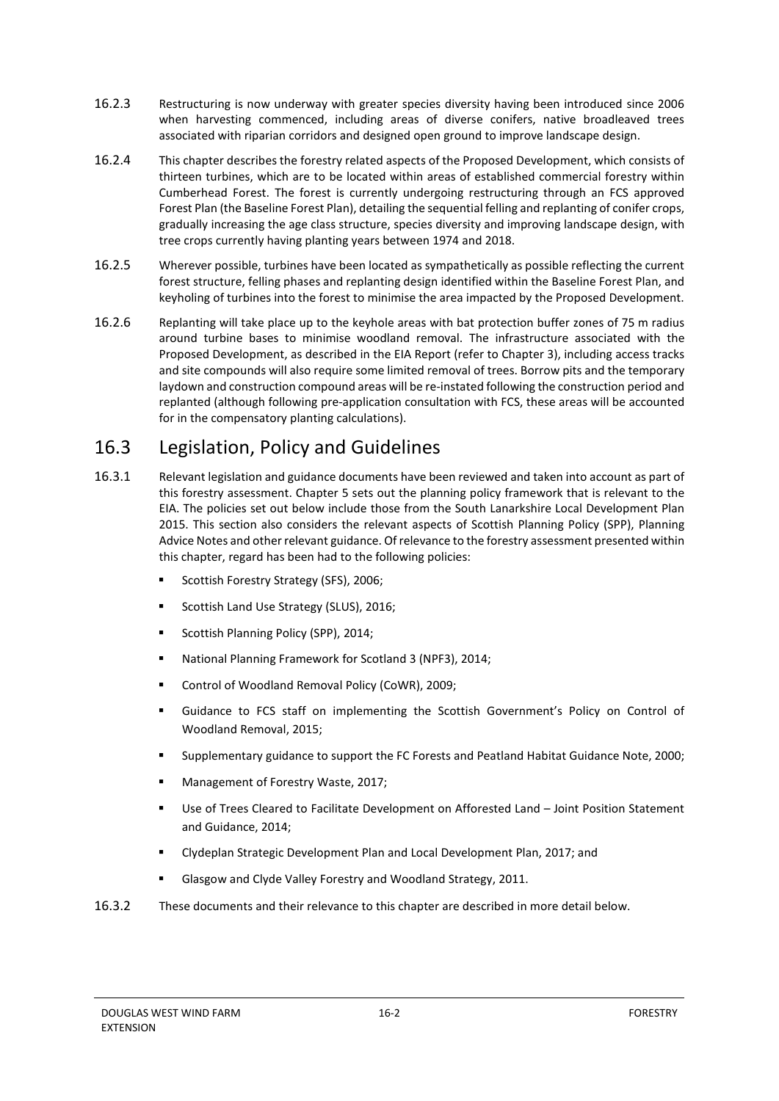- 16.2.3 Restructuring is now underway with greater species diversity having been introduced since 2006 when harvesting commenced, including areas of diverse conifers, native broadleaved trees associated with riparian corridors and designed open ground to improve landscape design.
- 16.2.4 This chapter describes the forestry related aspects of the Proposed Development, which consists of thirteen turbines, which are to be located within areas of established commercial forestry within Cumberhead Forest. The forest is currently undergoing restructuring through an FCS approved Forest Plan (the Baseline Forest Plan), detailing the sequential felling and replanting of conifer crops, gradually increasing the age class structure, species diversity and improving landscape design, with tree crops currently having planting years between 1974 and 2018.
- 16.2.5 Wherever possible, turbines have been located as sympathetically as possible reflecting the current forest structure, felling phases and replanting design identified within the Baseline Forest Plan, and keyholing of turbines into the forest to minimise the area impacted by the Proposed Development.
- 16.2.6 Replanting will take place up to the keyhole areas with bat protection buffer zones of 75 m radius around turbine bases to minimise woodland removal. The infrastructure associated with the Proposed Development, as described in the EIA Report (refer to Chapter 3), including access tracks and site compounds will also require some limited removal of trees. Borrow pits and the temporary laydown and construction compound areas will be re-instated following the construction period and replanted (although following pre-application consultation with FCS, these areas will be accounted for in the compensatory planting calculations).

# <span id="page-3-0"></span>16.3 Legislation, Policy and Guidelines

- 16.3.1 Relevant legislation and guidance documents have been reviewed and taken into account as part of this forestry assessment. Chapter 5 sets out the planning policy framework that is relevant to the EIA. The policies set out below include those from the South Lanarkshire Local Development Plan 2015. This section also considers the relevant aspects of Scottish Planning Policy (SPP), Planning Advice Notes and other relevant guidance. Of relevance to the forestry assessment presented within this chapter, regard has been had to the following policies:
	- **Scottish Forestry Strategy (SFS), 2006;**
	- Scottish Land Use Strategy (SLUS), 2016;
	- **Scottish Planning Policy (SPP), 2014;**
	- National Planning Framework for Scotland 3 (NPF3), 2014;
	- **E** Control of Woodland Removal Policy (CoWR), 2009;
	- Guidance to FCS staff on implementing the Scottish Government's Policy on Control of Woodland Removal, 2015;
	- Supplementary guidance to support the FC Forests and Peatland Habitat Guidance Note, 2000;
	- **Management of Forestry Waste, 2017;**
	- Use of Trees Cleared to Facilitate Development on Afforested Land Joint Position Statement and Guidance, 2014;
	- Clydeplan Strategic Development Plan and Local Development Plan, 2017; and
	- Glasgow and Clyde Valley Forestry and Woodland Strategy, 2011.
- 16.3.2 These documents and their relevance to this chapter are described in more detail below.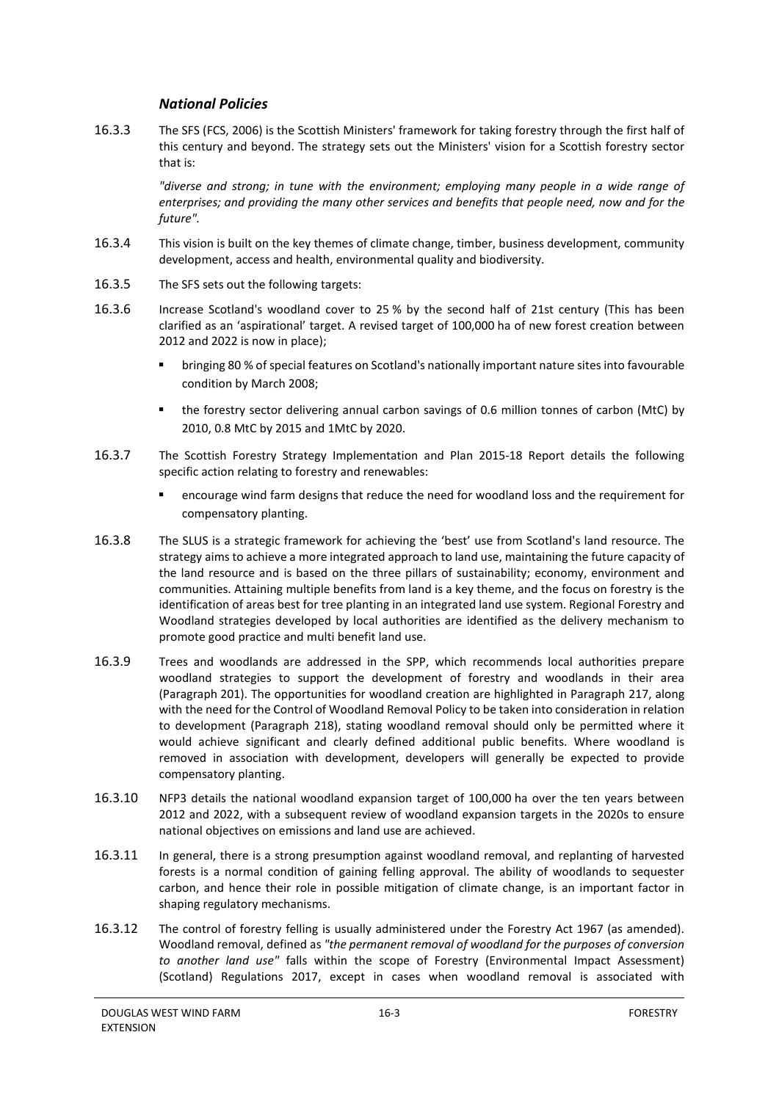# *National Policies*

16.3.3 The SFS (FCS, 2006) is the Scottish Ministers' framework for taking forestry through the first half of this century and beyond. The strategy sets out the Ministers' vision for a Scottish forestry sector that is:

> *"diverse and strong; in tune with the environment; employing many people in a wide range of enterprises; and providing the many other services and benefits that people need, now and for the future".*

- 16.3.4 This vision is built on the key themes of climate change, timber, business development, community development, access and health, environmental quality and biodiversity.
- 16.3.5 The SFS sets out the following targets:
- 16.3.6 Increase Scotland's woodland cover to 25 % by the second half of 21st century (This has been clarified as an 'aspirational' target. A revised target of 100,000 ha of new forest creation between 2012 and 2022 is now in place);
	- bringing 80 % of special features on Scotland's nationally important nature sites into favourable condition by March 2008;
	- the forestry sector delivering annual carbon savings of 0.6 million tonnes of carbon (MtC) by 2010, 0.8 MtC by 2015 and 1MtC by 2020.
- 16.3.7 The Scottish Forestry Strategy Implementation and Plan 2015-18 Report details the following specific action relating to forestry and renewables:
	- encourage wind farm designs that reduce the need for woodland loss and the requirement for compensatory planting.
- 16.3.8 The SLUS is a strategic framework for achieving the 'best' use from Scotland's land resource. The strategy aims to achieve a more integrated approach to land use, maintaining the future capacity of the land resource and is based on the three pillars of sustainability; economy, environment and communities. Attaining multiple benefits from land is a key theme, and the focus on forestry is the identification of areas best for tree planting in an integrated land use system. Regional Forestry and Woodland strategies developed by local authorities are identified as the delivery mechanism to promote good practice and multi benefit land use.
- 16.3.9 Trees and woodlands are addressed in the SPP, which recommends local authorities prepare woodland strategies to support the development of forestry and woodlands in their area (Paragraph 201). The opportunities for woodland creation are highlighted in Paragraph 217, along with the need for the Control of Woodland Removal Policy to be taken into consideration in relation to development (Paragraph 218), stating woodland removal should only be permitted where it would achieve significant and clearly defined additional public benefits. Where woodland is removed in association with development, developers will generally be expected to provide compensatory planting.
- 16.3.10 NFP3 details the national woodland expansion target of 100,000 ha over the ten years between 2012 and 2022, with a subsequent review of woodland expansion targets in the 2020s to ensure national objectives on emissions and land use are achieved.
- 16.3.11 In general, there is a strong presumption against woodland removal, and replanting of harvested forests is a normal condition of gaining felling approval. The ability of woodlands to sequester carbon, and hence their role in possible mitigation of climate change, is an important factor in shaping regulatory mechanisms.
- 16.3.12 The control of forestry felling is usually administered under the Forestry Act 1967 (as amended). Woodland removal, defined as *"the permanent removal of woodland for the purposes of conversion to another land use"* falls within the scope of Forestry (Environmental Impact Assessment) (Scotland) Regulations 2017, except in cases when woodland removal is associated with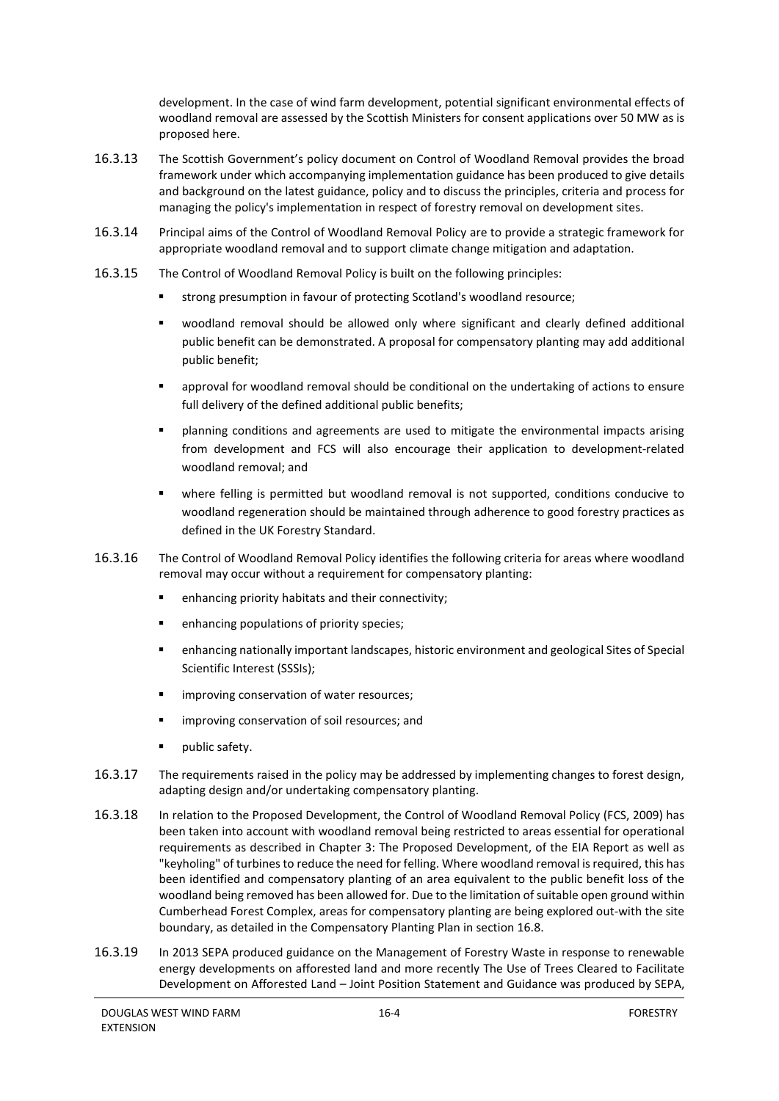development. In the case of wind farm development, potential significant environmental effects of woodland removal are assessed by the Scottish Ministers for consent applications over 50 MW as is proposed here.

- 16.3.13 The Scottish Government's policy document on Control of Woodland Removal provides the broad framework under which accompanying implementation guidance has been produced to give details and background on the latest guidance, policy and to discuss the principles, criteria and process for managing the policy's implementation in respect of forestry removal on development sites.
- 16.3.14 Principal aims of the Control of Woodland Removal Policy are to provide a strategic framework for appropriate woodland removal and to support climate change mitigation and adaptation.
- 16.3.15 The Control of Woodland Removal Policy is built on the following principles:
	- strong presumption in favour of protecting Scotland's woodland resource;
	- woodland removal should be allowed only where significant and clearly defined additional public benefit can be demonstrated. A proposal for compensatory planting may add additional public benefit;
	- approval for woodland removal should be conditional on the undertaking of actions to ensure full delivery of the defined additional public benefits;
	- planning conditions and agreements are used to mitigate the environmental impacts arising from development and FCS will also encourage their application to development-related woodland removal; and
	- where felling is permitted but woodland removal is not supported, conditions conducive to woodland regeneration should be maintained through adherence to good forestry practices as defined in the UK Forestry Standard.
- 16.3.16 The Control of Woodland Removal Policy identifies the following criteria for areas where woodland removal may occur without a requirement for compensatory planting:
	- **EXECUTE:** enhancing priority habitats and their connectivity;
	- **EXECUTE:** enhancing populations of priority species;
	- enhancing nationally important landscapes, historic environment and geological Sites of Special Scientific Interest (SSSIs);
	- **EXECUTE:** improving conservation of water resources;
	- **I** improving conservation of soil resources; and
	- public safety.
- 16.3.17 The requirements raised in the policy may be addressed by implementing changes to forest design, adapting design and/or undertaking compensatory planting.
- 16.3.18 In relation to the Proposed Development, the Control of Woodland Removal Policy (FCS, 2009) has been taken into account with woodland removal being restricted to areas essential for operational requirements as described in Chapter 3: The Proposed Development, of the EIA Report as well as "keyholing" of turbines to reduce the need for felling. Where woodland removal is required, this has been identified and compensatory planting of an area equivalent to the public benefit loss of the woodland being removed has been allowed for. Due to the limitation of suitable open ground within Cumberhead Forest Complex, areas for compensatory planting are being explored out-with the site boundary, as detailed in the Compensatory Planting Plan in section 16.8.
- 16.3.19 In 2013 SEPA produced guidance on the Management of Forestry Waste in response to renewable energy developments on afforested land and more recently The Use of Trees Cleared to Facilitate Development on Afforested Land – Joint Position Statement and Guidance was produced by SEPA,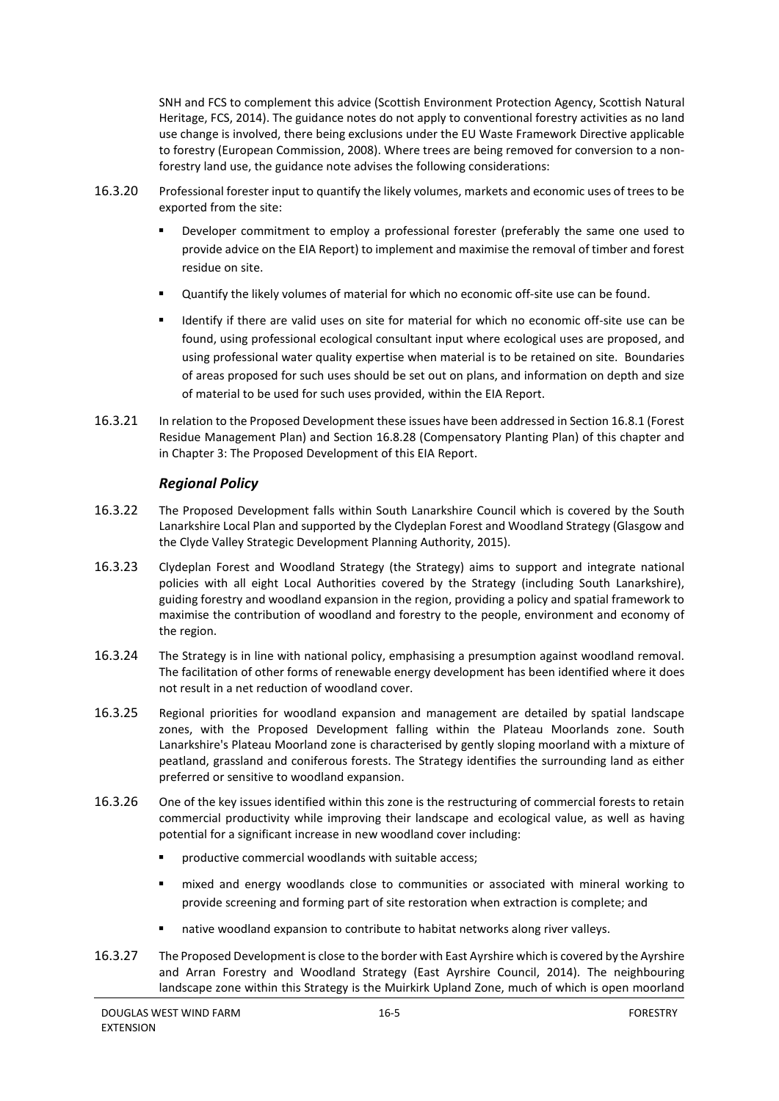SNH and FCS to complement this advice (Scottish Environment Protection Agency, Scottish Natural Heritage, FCS, 2014). The guidance notes do not apply to conventional forestry activities as no land use change is involved, there being exclusions under the EU Waste Framework Directive applicable to forestry (European Commission, 2008). Where trees are being removed for conversion to a nonforestry land use, the guidance note advises the following considerations:

- 16.3.20 Professional forester input to quantify the likely volumes, markets and economic uses of trees to be exported from the site:
	- Developer commitment to employ a professional forester (preferably the same one used to provide advice on the EIA Report) to implement and maximise the removal of timber and forest residue on site.
	- Quantify the likely volumes of material for which no economic off-site use can be found.
	- **IDENTIFY IS CONTENT IS NOTEN IS NOTEN IS NOTENATE:** I dentify if there are valid use of there can be found, using professional ecological consultant input where ecological uses are proposed, and using professional water quality expertise when material is to be retained on site. Boundaries of areas proposed for such uses should be set out on plans, and information on depth and size of material to be used for such uses provided, within the EIA Report.
- 16.3.21 In relation to the Proposed Development these issues have been addressed in Section 16.8.1 (Forest Residue Management Plan) and Section 16.8.28 (Compensatory Planting Plan) of this chapter and in Chapter 3: The Proposed Development of this EIA Report.

# *Regional Policy*

- 16.3.22 The Proposed Development falls within South Lanarkshire Council which is covered by the South Lanarkshire Local Plan and supported by the Clydeplan Forest and Woodland Strategy (Glasgow and the Clyde Valley Strategic Development Planning Authority, 2015).
- 16.3.23 Clydeplan Forest and Woodland Strategy (the Strategy) aims to support and integrate national policies with all eight Local Authorities covered by the Strategy (including South Lanarkshire), guiding forestry and woodland expansion in the region, providing a policy and spatial framework to maximise the contribution of woodland and forestry to the people, environment and economy of the region.
- 16.3.24 The Strategy is in line with national policy, emphasising a presumption against woodland removal. The facilitation of other forms of renewable energy development has been identified where it does not result in a net reduction of woodland cover.
- 16.3.25 Regional priorities for woodland expansion and management are detailed by spatial landscape zones, with the Proposed Development falling within the Plateau Moorlands zone. South Lanarkshire's Plateau Moorland zone is characterised by gently sloping moorland with a mixture of peatland, grassland and coniferous forests. The Strategy identifies the surrounding land as either preferred or sensitive to woodland expansion.
- 16.3.26 One of the key issues identified within this zone is the restructuring of commercial forests to retain commercial productivity while improving their landscape and ecological value, as well as having potential for a significant increase in new woodland cover including:
	- productive commercial woodlands with suitable access;
	- mixed and energy woodlands close to communities or associated with mineral working to provide screening and forming part of site restoration when extraction is complete; and
	- native woodland expansion to contribute to habitat networks along river valleys.
- 16.3.27 The Proposed Development is close to the border with East Ayrshire which is covered by the Ayrshire and Arran Forestry and Woodland Strategy (East Ayrshire Council, 2014). The neighbouring landscape zone within this Strategy is the Muirkirk Upland Zone, much of which is open moorland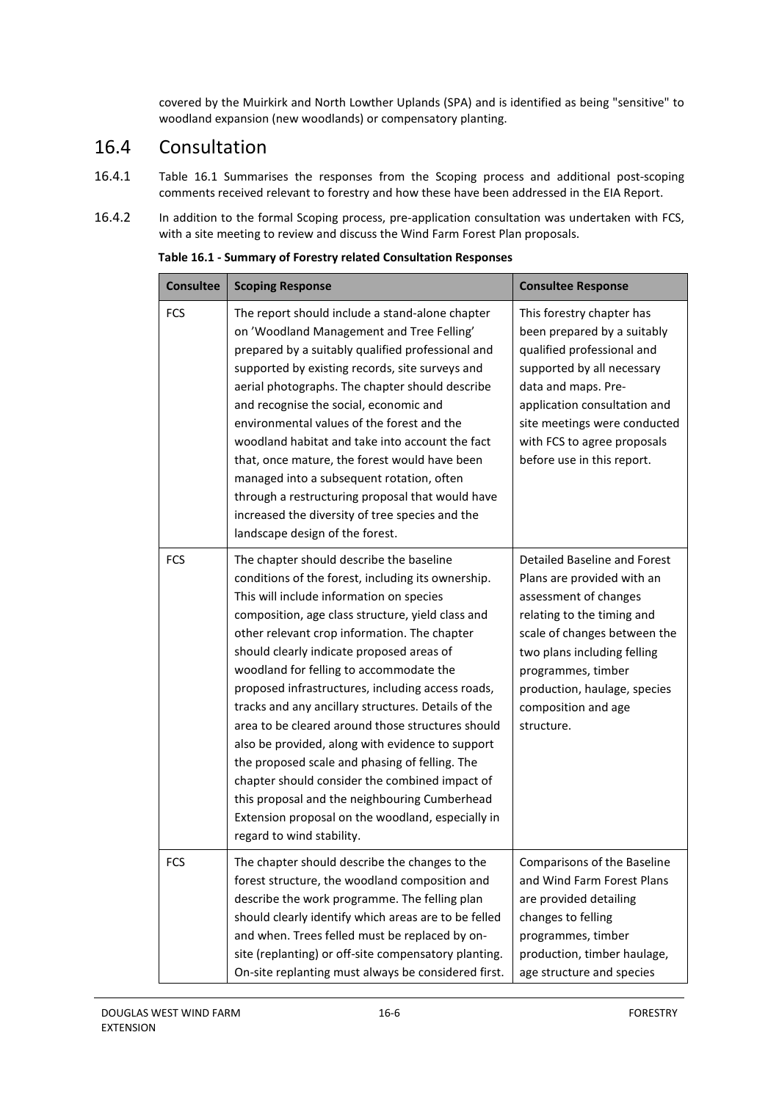covered by the Muirkirk and North Lowther Uplands (SPA) and is identified as being "sensitive" to woodland expansion (new woodlands) or compensatory planting.

# <span id="page-7-0"></span>16.4 Consultation

- 16.4.1 Table 16.1 Summarises the responses from the Scoping process and additional post-scoping comments received relevant to forestry and how these have been addressed in the EIA Report.
- 16.4.2 In addition to the formal Scoping process, pre-application consultation was undertaken with FCS, with a site meeting to review and discuss the Wind Farm Forest Plan proposals.

| <b>Consultee</b> | <b>Scoping Response</b>                                                                                                                                                                                                                                                                                                                                                                                                                                                                                                                                                                                                                                                                                                                                                                             | <b>Consultee Response</b>                                                                                                                                                                                                                                                   |
|------------------|-----------------------------------------------------------------------------------------------------------------------------------------------------------------------------------------------------------------------------------------------------------------------------------------------------------------------------------------------------------------------------------------------------------------------------------------------------------------------------------------------------------------------------------------------------------------------------------------------------------------------------------------------------------------------------------------------------------------------------------------------------------------------------------------------------|-----------------------------------------------------------------------------------------------------------------------------------------------------------------------------------------------------------------------------------------------------------------------------|
| <b>FCS</b>       | The report should include a stand-alone chapter<br>on 'Woodland Management and Tree Felling'<br>prepared by a suitably qualified professional and<br>supported by existing records, site surveys and<br>aerial photographs. The chapter should describe<br>and recognise the social, economic and<br>environmental values of the forest and the<br>woodland habitat and take into account the fact<br>that, once mature, the forest would have been<br>managed into a subsequent rotation, often<br>through a restructuring proposal that would have<br>increased the diversity of tree species and the<br>landscape design of the forest.                                                                                                                                                          | This forestry chapter has<br>been prepared by a suitably<br>qualified professional and<br>supported by all necessary<br>data and maps. Pre-<br>application consultation and<br>site meetings were conducted<br>with FCS to agree proposals<br>before use in this report.    |
| FCS              | The chapter should describe the baseline<br>conditions of the forest, including its ownership.<br>This will include information on species<br>composition, age class structure, yield class and<br>other relevant crop information. The chapter<br>should clearly indicate proposed areas of<br>woodland for felling to accommodate the<br>proposed infrastructures, including access roads,<br>tracks and any ancillary structures. Details of the<br>area to be cleared around those structures should<br>also be provided, along with evidence to support<br>the proposed scale and phasing of felling. The<br>chapter should consider the combined impact of<br>this proposal and the neighbouring Cumberhead<br>Extension proposal on the woodland, especially in<br>regard to wind stability. | Detailed Baseline and Forest<br>Plans are provided with an<br>assessment of changes<br>relating to the timing and<br>scale of changes between the<br>two plans including felling<br>programmes, timber<br>production, haulage, species<br>composition and age<br>structure. |
| <b>FCS</b>       | The chapter should describe the changes to the<br>forest structure, the woodland composition and<br>describe the work programme. The felling plan<br>should clearly identify which areas are to be felled<br>and when. Trees felled must be replaced by on-<br>site (replanting) or off-site compensatory planting.<br>On-site replanting must always be considered first.                                                                                                                                                                                                                                                                                                                                                                                                                          | Comparisons of the Baseline<br>and Wind Farm Forest Plans<br>are provided detailing<br>changes to felling<br>programmes, timber<br>production, timber haulage,<br>age structure and species                                                                                 |

**Table 16.1 - Summary of Forestry related Consultation Responses**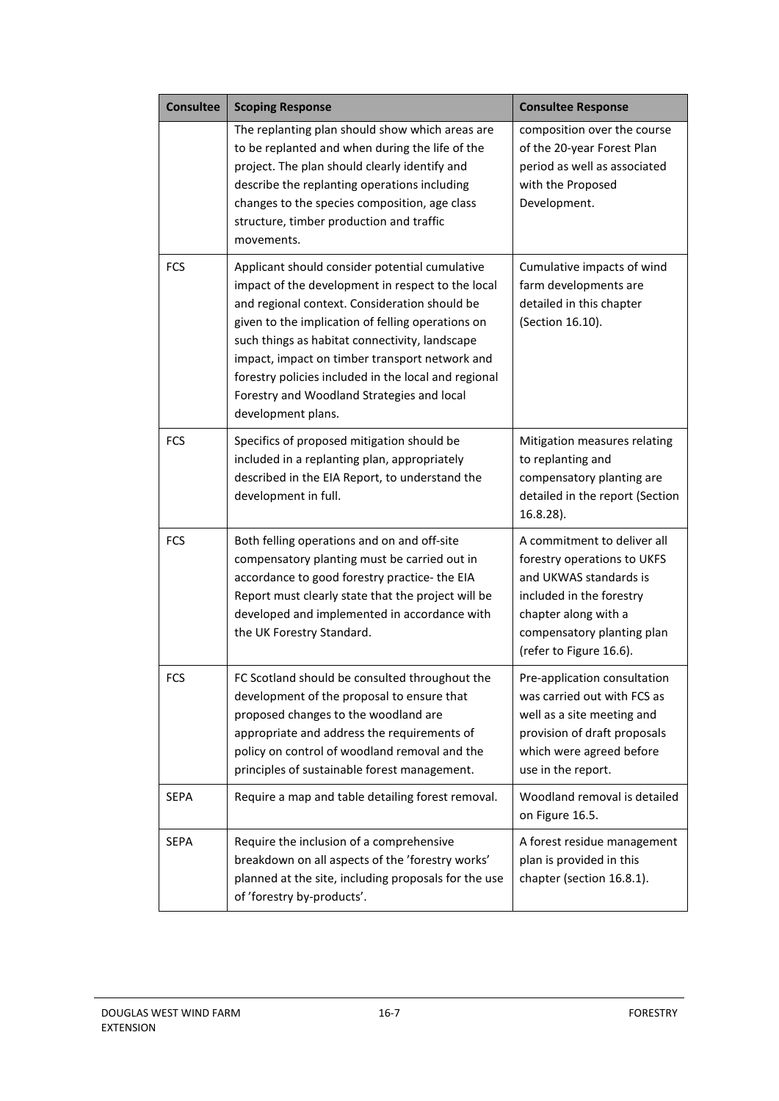| <b>Consultee</b> | <b>Scoping Response</b>                                                                                                                                                                                                                                                                                                                                                                                                                   | <b>Consultee Response</b>                                                                                                                                                                         |
|------------------|-------------------------------------------------------------------------------------------------------------------------------------------------------------------------------------------------------------------------------------------------------------------------------------------------------------------------------------------------------------------------------------------------------------------------------------------|---------------------------------------------------------------------------------------------------------------------------------------------------------------------------------------------------|
|                  | The replanting plan should show which areas are<br>to be replanted and when during the life of the<br>project. The plan should clearly identify and<br>describe the replanting operations including<br>changes to the species composition, age class<br>structure, timber production and traffic<br>movements.                                                                                                                            | composition over the course<br>of the 20-year Forest Plan<br>period as well as associated<br>with the Proposed<br>Development.                                                                    |
| <b>FCS</b>       | Applicant should consider potential cumulative<br>impact of the development in respect to the local<br>and regional context. Consideration should be<br>given to the implication of felling operations on<br>such things as habitat connectivity, landscape<br>impact, impact on timber transport network and<br>forestry policies included in the local and regional<br>Forestry and Woodland Strategies and local<br>development plans. | Cumulative impacts of wind<br>farm developments are<br>detailed in this chapter<br>(Section 16.10).                                                                                               |
| FCS              | Specifics of proposed mitigation should be<br>included in a replanting plan, appropriately<br>described in the EIA Report, to understand the<br>development in full.                                                                                                                                                                                                                                                                      | Mitigation measures relating<br>to replanting and<br>compensatory planting are<br>detailed in the report (Section<br>16.8.28).                                                                    |
| FCS              | Both felling operations and on and off-site<br>compensatory planting must be carried out in<br>accordance to good forestry practice- the EIA<br>Report must clearly state that the project will be<br>developed and implemented in accordance with<br>the UK Forestry Standard.                                                                                                                                                           | A commitment to deliver all<br>forestry operations to UKFS<br>and UKWAS standards is<br>included in the forestry<br>chapter along with a<br>compensatory planting plan<br>(refer to Figure 16.6). |
| <b>FCS</b>       | FC Scotland should be consulted throughout the<br>development of the proposal to ensure that<br>proposed changes to the woodland are<br>appropriate and address the requirements of<br>policy on control of woodland removal and the<br>principles of sustainable forest management.                                                                                                                                                      | Pre-application consultation<br>was carried out with FCS as<br>well as a site meeting and<br>provision of draft proposals<br>which were agreed before<br>use in the report.                       |
| <b>SEPA</b>      | Require a map and table detailing forest removal.                                                                                                                                                                                                                                                                                                                                                                                         | Woodland removal is detailed<br>on Figure 16.5.                                                                                                                                                   |
| <b>SEPA</b>      | Require the inclusion of a comprehensive<br>breakdown on all aspects of the 'forestry works'<br>planned at the site, including proposals for the use<br>of 'forestry by-products'.                                                                                                                                                                                                                                                        | A forest residue management<br>plan is provided in this<br>chapter (section 16.8.1).                                                                                                              |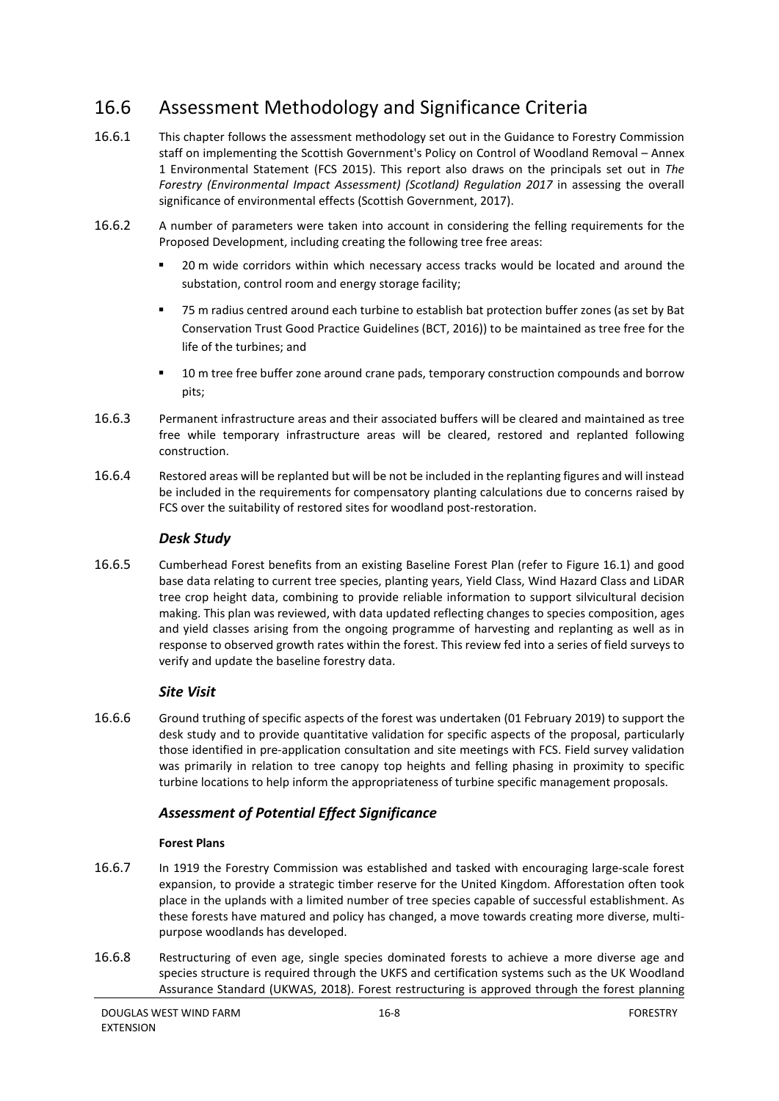# <span id="page-9-0"></span>16.6 Assessment Methodology and Significance Criteria

- 16.6.1 This chapter follows the assessment methodology set out in the Guidance to Forestry Commission staff on implementing the Scottish Government's Policy on Control of Woodland Removal – Annex 1 Environmental Statement (FCS 2015). This report also draws on the principals set out in *The Forestry (Environmental Impact Assessment) (Scotland) Regulation 2017* in assessing the overall significance of environmental effects (Scottish Government, 2017).
- 16.6.2 A number of parameters were taken into account in considering the felling requirements for the Proposed Development, including creating the following tree free areas:
	- 20 m wide corridors within which necessary access tracks would be located and around the substation, control room and energy storage facility;
	- 75 m radius centred around each turbine to establish bat protection buffer zones (as set by Bat Conservation Trust Good Practice Guidelines (BCT, 2016)) to be maintained as tree free for the life of the turbines; and
	- 10 m tree free buffer zone around crane pads, temporary construction compounds and borrow pits;
- 16.6.3 Permanent infrastructure areas and their associated buffers will be cleared and maintained as tree free while temporary infrastructure areas will be cleared, restored and replanted following construction.
- 16.6.4 Restored areas will be replanted but will be not be included in the replanting figures and will instead be included in the requirements for compensatory planting calculations due to concerns raised by FCS over the suitability of restored sites for woodland post-restoration.

# *Desk Study*

16.6.5 Cumberhead Forest benefits from an existing Baseline Forest Plan (refer to Figure 16.1) and good base data relating to current tree species, planting years, Yield Class, Wind Hazard Class and LiDAR tree crop height data, combining to provide reliable information to support silvicultural decision making. This plan was reviewed, with data updated reflecting changes to species composition, ages and yield classes arising from the ongoing programme of harvesting and replanting as well as in response to observed growth rates within the forest. This review fed into a series of field surveys to verify and update the baseline forestry data.

# *Site Visit*

16.6.6 Ground truthing of specific aspects of the forest was undertaken (01 February 2019) to support the desk study and to provide quantitative validation for specific aspects of the proposal, particularly those identified in pre-application consultation and site meetings with FCS. Field survey validation was primarily in relation to tree canopy top heights and felling phasing in proximity to specific turbine locations to help inform the appropriateness of turbine specific management proposals.

# *Assessment of Potential Effect Significance*

# **Forest Plans**

- 16.6.7 In 1919 the Forestry Commission was established and tasked with encouraging large-scale forest expansion, to provide a strategic timber reserve for the United Kingdom. Afforestation often took place in the uplands with a limited number of tree species capable of successful establishment. As these forests have matured and policy has changed, a move towards creating more diverse, multipurpose woodlands has developed.
- 16.6.8 Restructuring of even age, single species dominated forests to achieve a more diverse age and species structure is required through the UKFS and certification systems such as the UK Woodland Assurance Standard (UKWAS, 2018). Forest restructuring is approved through the forest planning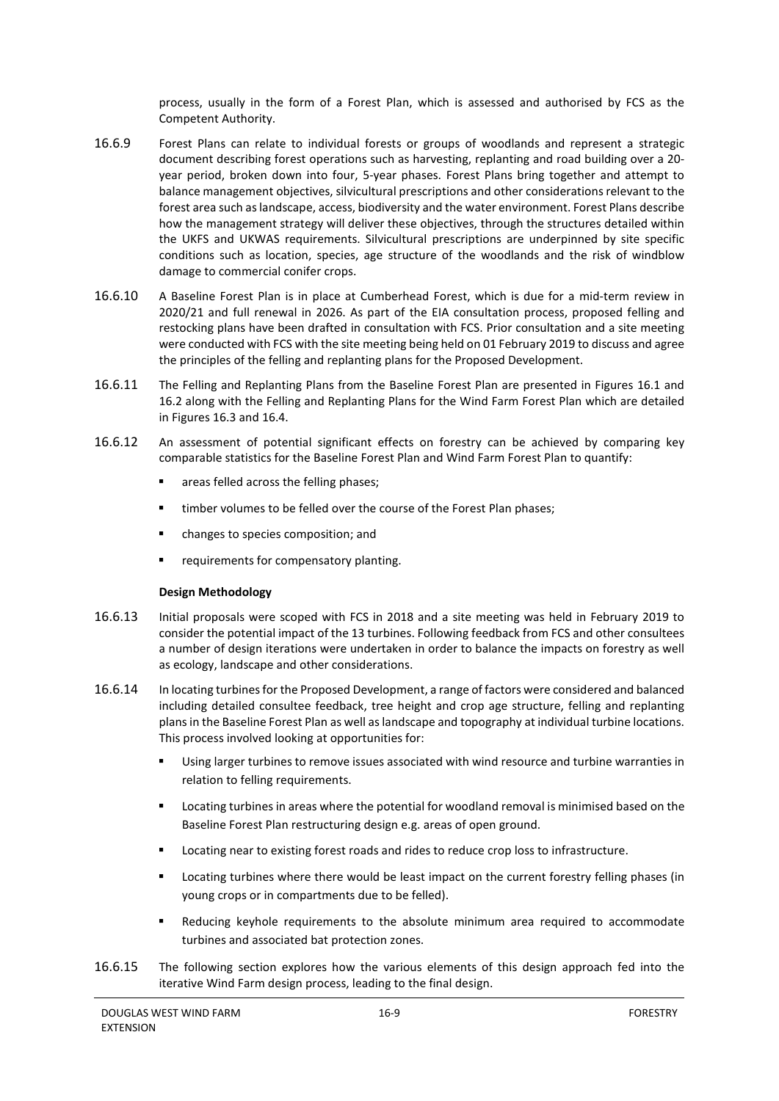process, usually in the form of a Forest Plan, which is assessed and authorised by FCS as the Competent Authority.

- 16.6.9 Forest Plans can relate to individual forests or groups of woodlands and represent a strategic document describing forest operations such as harvesting, replanting and road building over a 20 year period, broken down into four, 5-year phases. Forest Plans bring together and attempt to balance management objectives, silvicultural prescriptions and other considerations relevant to the forest area such as landscape, access, biodiversity and the water environment. Forest Plans describe how the management strategy will deliver these objectives, through the structures detailed within the UKFS and UKWAS requirements. Silvicultural prescriptions are underpinned by site specific conditions such as location, species, age structure of the woodlands and the risk of windblow damage to commercial conifer crops.
- 16.6.10 A Baseline Forest Plan is in place at Cumberhead Forest, which is due for a mid-term review in 2020/21 and full renewal in 2026. As part of the EIA consultation process, proposed felling and restocking plans have been drafted in consultation with FCS. Prior consultation and a site meeting were conducted with FCS with the site meeting being held on 01 February 2019 to discuss and agree the principles of the felling and replanting plans for the Proposed Development.
- 16.6.11 The Felling and Replanting Plans from the Baseline Forest Plan are presented in Figures 16.1 and 16.2 along with the Felling and Replanting Plans for the Wind Farm Forest Plan which are detailed in Figures 16.3 and 16.4.
- 16.6.12 An assessment of potential significant effects on forestry can be achieved by comparing key comparable statistics for the Baseline Forest Plan and Wind Farm Forest Plan to quantify:
	- **all areas felled across the felling phases;**
	- **timber volumes to be felled over the course of the Forest Plan phases;**
	- changes to species composition; and
	- **•** requirements for compensatory planting.

#### **Design Methodology**

- 16.6.13 Initial proposals were scoped with FCS in 2018 and a site meeting was held in February 2019 to consider the potential impact of the 13 turbines. Following feedback from FCS and other consultees a number of design iterations were undertaken in order to balance the impacts on forestry as well as ecology, landscape and other considerations.
- 16.6.14 In locating turbines for the Proposed Development, a range of factors were considered and balanced including detailed consultee feedback, tree height and crop age structure, felling and replanting plans in the Baseline Forest Plan as well as landscape and topography at individual turbine locations. This process involved looking at opportunities for:
	- Using larger turbines to remove issues associated with wind resource and turbine warranties in relation to felling requirements.
	- **Locating turbines in areas where the potential for woodland removal is minimised based on the** Baseline Forest Plan restructuring design e.g. areas of open ground.
	- Locating near to existing forest roads and rides to reduce crop loss to infrastructure.
	- **•** Locating turbines where there would be least impact on the current forestry felling phases (in young crops or in compartments due to be felled).
	- Reducing keyhole requirements to the absolute minimum area required to accommodate turbines and associated bat protection zones.
- 16.6.15 The following section explores how the various elements of this design approach fed into the iterative Wind Farm design process, leading to the final design.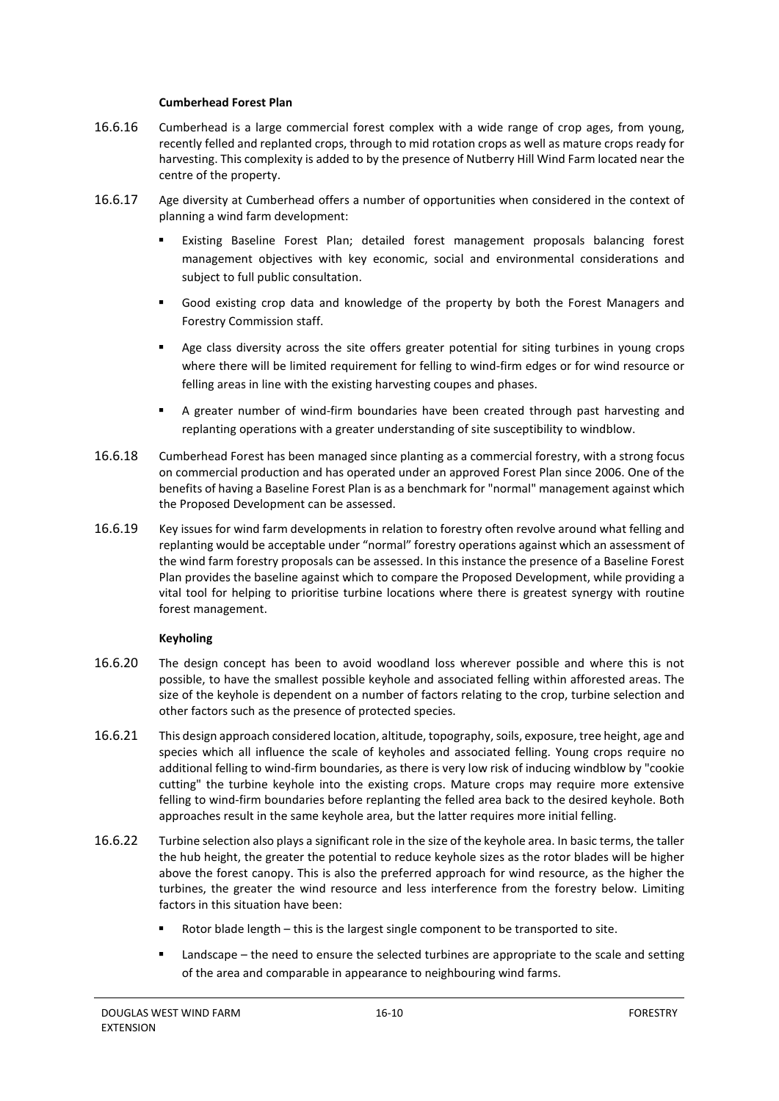#### **Cumberhead Forest Plan**

- 16.6.16 Cumberhead is a large commercial forest complex with a wide range of crop ages, from young, recently felled and replanted crops, through to mid rotation crops as well as mature crops ready for harvesting. This complexity is added to by the presence of Nutberry Hill Wind Farm located near the centre of the property.
- 16.6.17 Age diversity at Cumberhead offers a number of opportunities when considered in the context of planning a wind farm development:
	- Existing Baseline Forest Plan; detailed forest management proposals balancing forest management objectives with key economic, social and environmental considerations and subject to full public consultation.
	- Good existing crop data and knowledge of the property by both the Forest Managers and Forestry Commission staff.
	- Age class diversity across the site offers greater potential for siting turbines in young crops where there will be limited requirement for felling to wind-firm edges or for wind resource or felling areas in line with the existing harvesting coupes and phases.
	- A greater number of wind-firm boundaries have been created through past harvesting and replanting operations with a greater understanding of site susceptibility to windblow.
- 16.6.18 Cumberhead Forest has been managed since planting as a commercial forestry, with a strong focus on commercial production and has operated under an approved Forest Plan since 2006. One of the benefits of having a Baseline Forest Plan is as a benchmark for "normal" management against which the Proposed Development can be assessed.
- 16.6.19 Key issues for wind farm developments in relation to forestry often revolve around what felling and replanting would be acceptable under "normal" forestry operations against which an assessment of the wind farm forestry proposals can be assessed. In this instance the presence of a Baseline Forest Plan provides the baseline against which to compare the Proposed Development, while providing a vital tool for helping to prioritise turbine locations where there is greatest synergy with routine forest management.

# **Keyholing**

- 16.6.20 The design concept has been to avoid woodland loss wherever possible and where this is not possible, to have the smallest possible keyhole and associated felling within afforested areas. The size of the keyhole is dependent on a number of factors relating to the crop, turbine selection and other factors such as the presence of protected species.
- 16.6.21 This design approach considered location, altitude, topography, soils, exposure, tree height, age and species which all influence the scale of keyholes and associated felling. Young crops require no additional felling to wind-firm boundaries, as there is very low risk of inducing windblow by "cookie cutting" the turbine keyhole into the existing crops. Mature crops may require more extensive felling to wind-firm boundaries before replanting the felled area back to the desired keyhole. Both approaches result in the same keyhole area, but the latter requires more initial felling.
- 16.6.22 Turbine selection also plays a significant role in the size of the keyhole area. In basic terms, the taller the hub height, the greater the potential to reduce keyhole sizes as the rotor blades will be higher above the forest canopy. This is also the preferred approach for wind resource, as the higher the turbines, the greater the wind resource and less interference from the forestry below. Limiting factors in this situation have been:
	- Rotor blade length this is the largest single component to be transported to site.
	- Landscape the need to ensure the selected turbines are appropriate to the scale and setting of the area and comparable in appearance to neighbouring wind farms.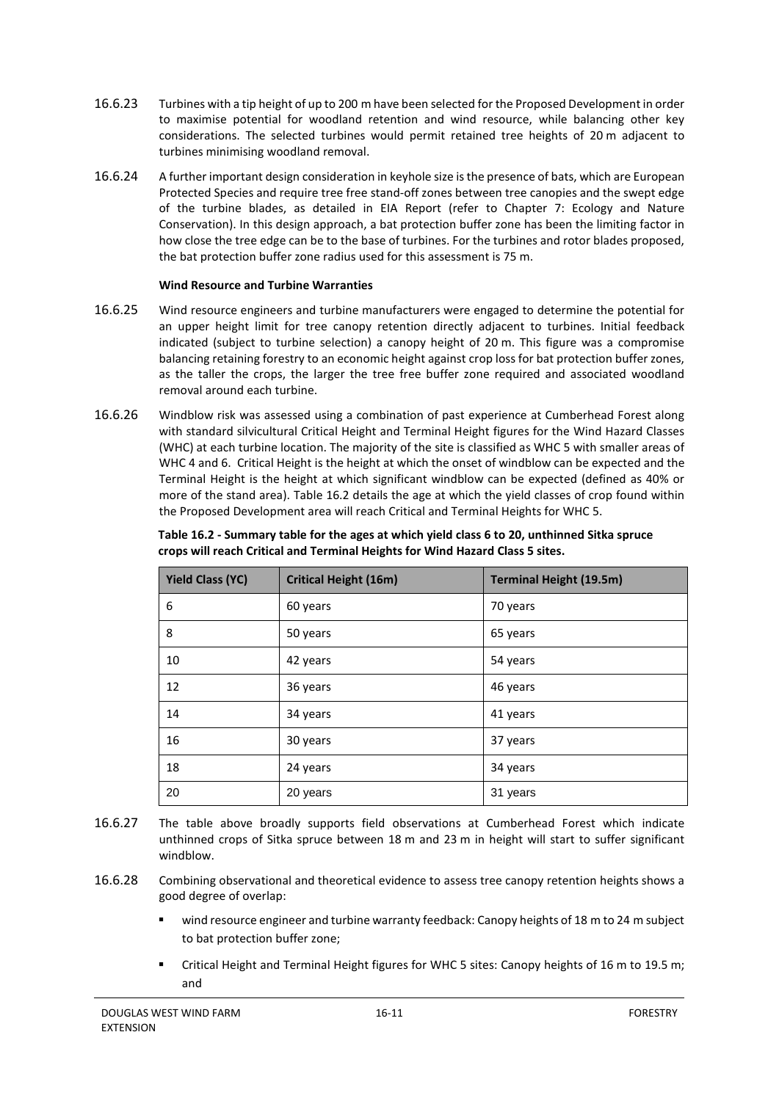- 16.6.23 Turbines with a tip height of up to 200 m have been selected for the Proposed Development in order to maximise potential for woodland retention and wind resource, while balancing other key considerations. The selected turbines would permit retained tree heights of 20 m adjacent to turbines minimising woodland removal.
- 16.6.24 A further important design consideration in keyhole size is the presence of bats, which are European Protected Species and require tree free stand-off zones between tree canopies and the swept edge of the turbine blades, as detailed in EIA Report (refer to Chapter 7: Ecology and Nature Conservation). In this design approach, a bat protection buffer zone has been the limiting factor in how close the tree edge can be to the base of turbines. For the turbines and rotor blades proposed, the bat protection buffer zone radius used for this assessment is 75 m.

# **Wind Resource and Turbine Warranties**

- 16.6.25 Wind resource engineers and turbine manufacturers were engaged to determine the potential for an upper height limit for tree canopy retention directly adjacent to turbines. Initial feedback indicated (subject to turbine selection) a canopy height of 20 m. This figure was a compromise balancing retaining forestry to an economic height against crop loss for bat protection buffer zones, as the taller the crops, the larger the tree free buffer zone required and associated woodland removal around each turbine.
- 16.6.26 Windblow risk was assessed using a combination of past experience at Cumberhead Forest along with standard silvicultural Critical Height and Terminal Height figures for the Wind Hazard Classes (WHC) at each turbine location. The majority of the site is classified as WHC 5 with smaller areas of WHC 4 and 6. Critical Height is the height at which the onset of windblow can be expected and the Terminal Height is the height at which significant windblow can be expected (defined as 40% or more of the stand area). Table 16.2 details the age at which the yield classes of crop found within the Proposed Development area will reach Critical and Terminal Heights for WHC 5.

| <b>Yield Class (YC)</b> | <b>Critical Height (16m)</b> | <b>Terminal Height (19.5m)</b> |
|-------------------------|------------------------------|--------------------------------|
| 6                       | 60 years                     | 70 years                       |
| 8                       | 50 years                     | 65 years                       |
| 10                      | 42 years                     | 54 years                       |
| 12                      | 36 years                     | 46 years                       |
| 14                      | 34 years                     | 41 years                       |
| 16                      | 30 years                     | 37 years                       |
| 18                      | 24 years                     | 34 years                       |
| 20                      | 20 years                     | 31 years                       |

**Table 16.2 - Summary table for the ages at which yield class 6 to 20, unthinned Sitka spruce crops will reach Critical and Terminal Heights for Wind Hazard Class 5 sites.**

- 16.6.27 The table above broadly supports field observations at Cumberhead Forest which indicate unthinned crops of Sitka spruce between 18 m and 23 m in height will start to suffer significant windblow.
- 16.6.28 Combining observational and theoretical evidence to assess tree canopy retention heights shows a good degree of overlap:
	- wind resource engineer and turbine warranty feedback: Canopy heights of 18 m to 24 m subject to bat protection buffer zone;
	- Critical Height and Terminal Height figures for WHC 5 sites: Canopy heights of 16 m to 19.5 m; and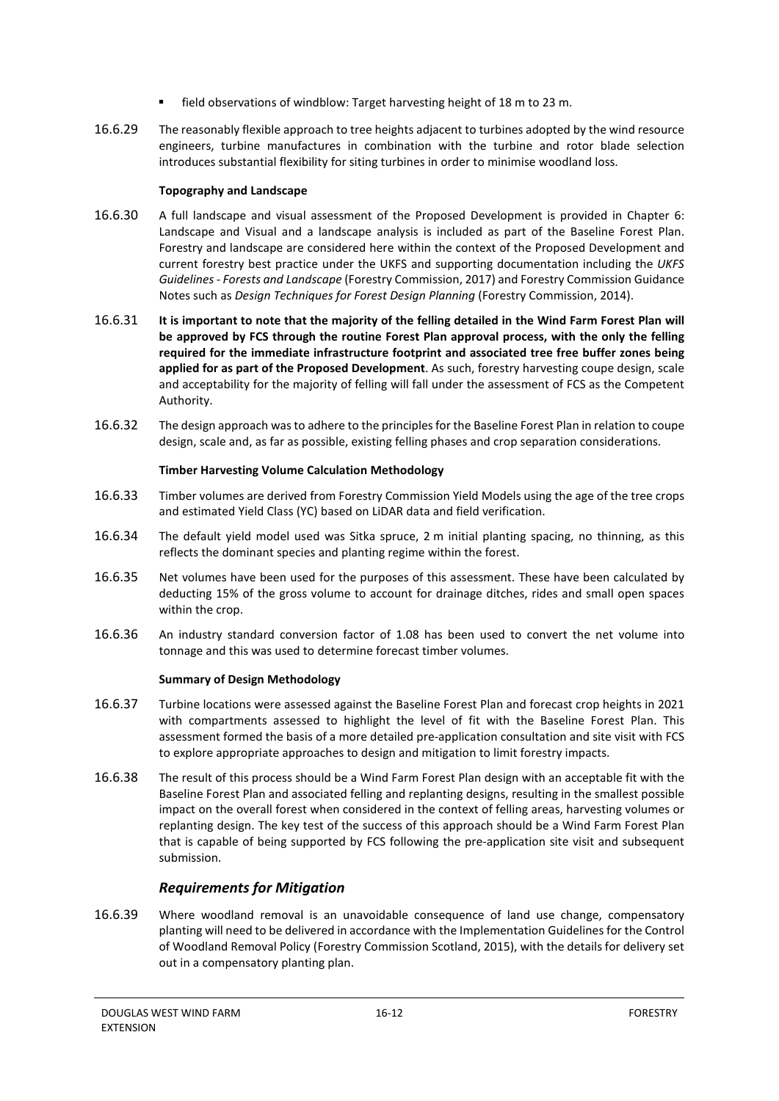- field observations of windblow: Target harvesting height of 18 m to 23 m.
- 16.6.29 The reasonably flexible approach to tree heights adjacent to turbines adopted by the wind resource engineers, turbine manufactures in combination with the turbine and rotor blade selection introduces substantial flexibility for siting turbines in order to minimise woodland loss.

# **Topography and Landscape**

- 16.6.30 A full landscape and visual assessment of the Proposed Development is provided in Chapter 6: Landscape and Visual and a landscape analysis is included as part of the Baseline Forest Plan. Forestry and landscape are considered here within the context of the Proposed Development and current forestry best practice under the UKFS and supporting documentation including the *UKFS Guidelines - Forests and Landscape* (Forestry Commission, 2017) and Forestry Commission Guidance Notes such as *Design Techniques for Forest Design Planning* (Forestry Commission, 2014).
- 16.6.31 **It is important to note that the majority of the felling detailed in the Wind Farm Forest Plan will be approved by FCS through the routine Forest Plan approval process, with the only the felling required for the immediate infrastructure footprint and associated tree free buffer zones being applied for as part of the Proposed Development**. As such, forestry harvesting coupe design, scale and acceptability for the majority of felling will fall under the assessment of FCS as the Competent Authority.
- 16.6.32 The design approach was to adhere to the principles for the Baseline Forest Plan in relation to coupe design, scale and, as far as possible, existing felling phases and crop separation considerations.

# **Timber Harvesting Volume Calculation Methodology**

- 16.6.33 Timber volumes are derived from Forestry Commission Yield Models using the age of the tree crops and estimated Yield Class (YC) based on LiDAR data and field verification.
- 16.6.34 The default yield model used was Sitka spruce, 2 m initial planting spacing, no thinning, as this reflects the dominant species and planting regime within the forest.
- 16.6.35 Net volumes have been used for the purposes of this assessment. These have been calculated by deducting 15% of the gross volume to account for drainage ditches, rides and small open spaces within the crop.
- 16.6.36 An industry standard conversion factor of 1.08 has been used to convert the net volume into tonnage and this was used to determine forecast timber volumes.

# **Summary of Design Methodology**

- 16.6.37 Turbine locations were assessed against the Baseline Forest Plan and forecast crop heights in 2021 with compartments assessed to highlight the level of fit with the Baseline Forest Plan. This assessment formed the basis of a more detailed pre-application consultation and site visit with FCS to explore appropriate approaches to design and mitigation to limit forestry impacts.
- 16.6.38 The result of this process should be a Wind Farm Forest Plan design with an acceptable fit with the Baseline Forest Plan and associated felling and replanting designs, resulting in the smallest possible impact on the overall forest when considered in the context of felling areas, harvesting volumes or replanting design. The key test of the success of this approach should be a Wind Farm Forest Plan that is capable of being supported by FCS following the pre-application site visit and subsequent submission.

# *Requirements for Mitigation*

16.6.39 Where woodland removal is an unavoidable consequence of land use change, compensatory planting will need to be delivered in accordance with the Implementation Guidelines for the Control of Woodland Removal Policy (Forestry Commission Scotland, 2015), with the details for delivery set out in a compensatory planting plan.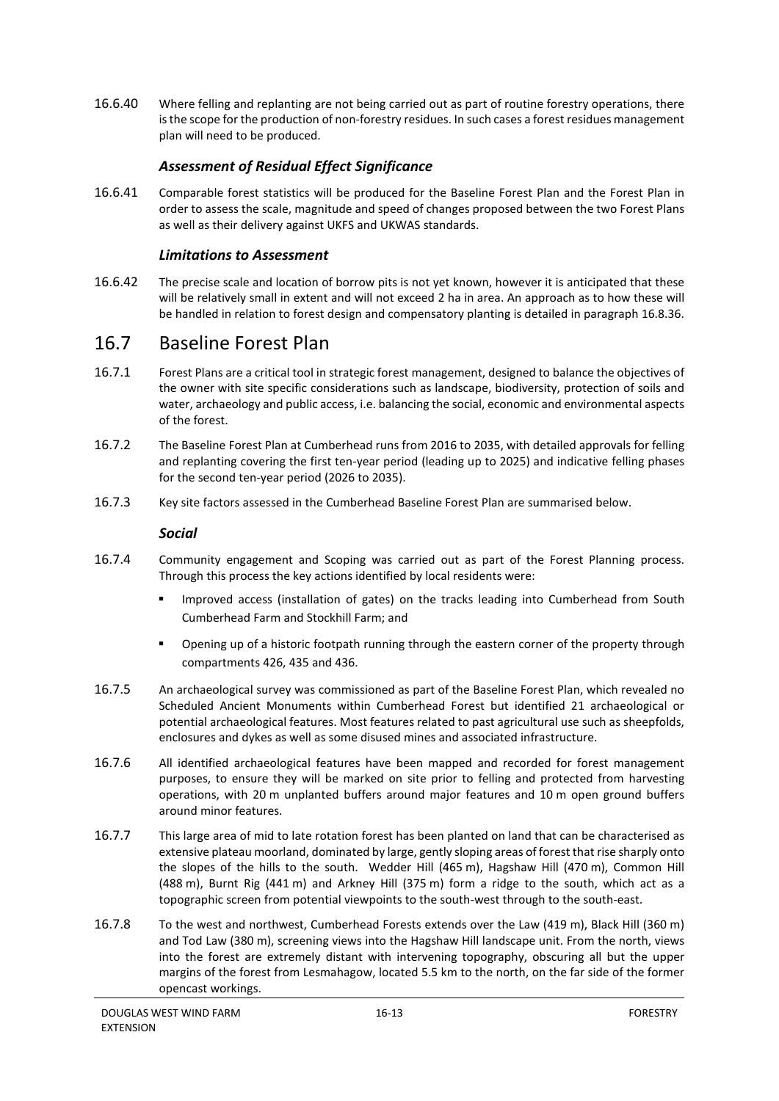16.6.40 Where felling and replanting are not being carried out as part of routine forestry operations, there is the scope for the production of non-forestry residues. In such cases a forest residues management plan will need to be produced.

# *Assessment of Residual Effect Significance*

16.6.41 Comparable forest statistics will be produced for the Baseline Forest Plan and the Forest Plan in order to assess the scale, magnitude and speed of changes proposed between the two Forest Plans as well as their delivery against UKFS and UKWAS standards.

# *Limitations to Assessment*

16.6.42 The precise scale and location of borrow pits is not yet known, however it is anticipated that these will be relatively small in extent and will not exceed 2 ha in area. An approach as to how these will be handled in relation to forest design and compensatory planting is detailed in paragraph 16.8.36.

# <span id="page-14-0"></span>16.7 Baseline Forest Plan

- 16.7.1 Forest Plans are a critical tool in strategic forest management, designed to balance the objectives of the owner with site specific considerations such as landscape, biodiversity, protection of soils and water, archaeology and public access, i.e. balancing the social, economic and environmental aspects of the forest.
- 16.7.2 The Baseline Forest Plan at Cumberhead runs from 2016 to 2035, with detailed approvals for felling and replanting covering the first ten-year period (leading up to 2025) and indicative felling phases for the second ten-year period (2026 to 2035).
- 16.7.3 Key site factors assessed in the Cumberhead Baseline Forest Plan are summarised below.

# *Social*

- 16.7.4 Community engagement and Scoping was carried out as part of the Forest Planning process. Through this process the key actions identified by local residents were:
	- Improved access (installation of gates) on the tracks leading into Cumberhead from South Cumberhead Farm and Stockhill Farm; and
	- **•** Opening up of a historic footpath running through the eastern corner of the property through compartments 426, 435 and 436.
- 16.7.5 An archaeological survey was commissioned as part of the Baseline Forest Plan, which revealed no Scheduled Ancient Monuments within Cumberhead Forest but identified 21 archaeological or potential archaeological features. Most features related to past agricultural use such as sheepfolds, enclosures and dykes as well as some disused mines and associated infrastructure.
- 16.7.6 All identified archaeological features have been mapped and recorded for forest management purposes, to ensure they will be marked on site prior to felling and protected from harvesting operations, with 20 m unplanted buffers around major features and 10 m open ground buffers around minor features.
- 16.7.7 This large area of mid to late rotation forest has been planted on land that can be characterised as extensive plateau moorland, dominated by large, gently sloping areas of forest that rise sharply onto the slopes of the hills to the south. Wedder Hill (465 m), Hagshaw Hill (470 m), Common Hill (488 m), Burnt Rig (441 m) and Arkney Hill (375 m) form a ridge to the south, which act as a topographic screen from potential viewpoints to the south-west through to the south-east.
- 16.7.8 To the west and northwest, Cumberhead Forests extends over the Law (419 m), Black Hill (360 m) and Tod Law (380 m), screening views into the Hagshaw Hill landscape unit. From the north, views into the forest are extremely distant with intervening topography, obscuring all but the upper margins of the forest from Lesmahagow, located 5.5 km to the north, on the far side of the former opencast workings.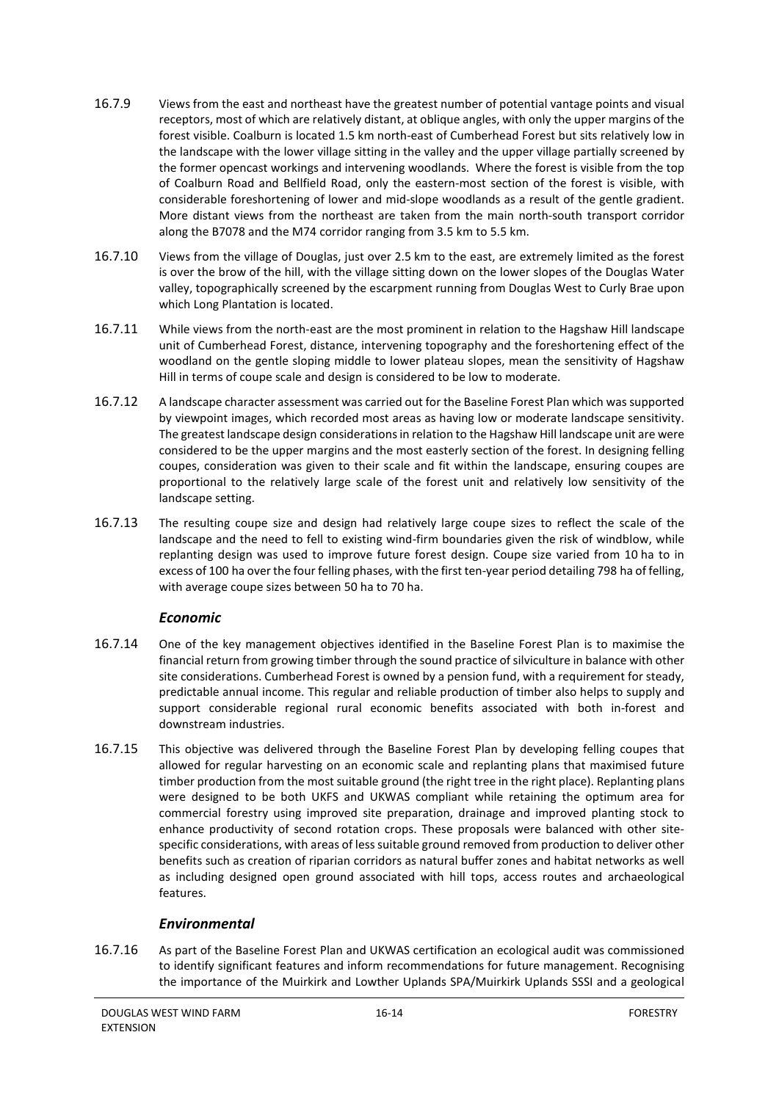- 16.7.9 Views from the east and northeast have the greatest number of potential vantage points and visual receptors, most of which are relatively distant, at oblique angles, with only the upper margins of the forest visible. Coalburn is located 1.5 km north-east of Cumberhead Forest but sits relatively low in the landscape with the lower village sitting in the valley and the upper village partially screened by the former opencast workings and intervening woodlands. Where the forest is visible from the top of Coalburn Road and Bellfield Road, only the eastern-most section of the forest is visible, with considerable foreshortening of lower and mid-slope woodlands as a result of the gentle gradient. More distant views from the northeast are taken from the main north-south transport corridor along the B7078 and the M74 corridor ranging from 3.5 km to 5.5 km.
- 16.7.10 Views from the village of Douglas, just over 2.5 km to the east, are extremely limited as the forest is over the brow of the hill, with the village sitting down on the lower slopes of the Douglas Water valley, topographically screened by the escarpment running from Douglas West to Curly Brae upon which Long Plantation is located.
- 16.7.11 While views from the north-east are the most prominent in relation to the Hagshaw Hill landscape unit of Cumberhead Forest, distance, intervening topography and the foreshortening effect of the woodland on the gentle sloping middle to lower plateau slopes, mean the sensitivity of Hagshaw Hill in terms of coupe scale and design is considered to be low to moderate.
- 16.7.12 A landscape character assessment was carried out for the Baseline Forest Plan which was supported by viewpoint images, which recorded most areas as having low or moderate landscape sensitivity. The greatest landscape design considerations in relation to the Hagshaw Hill landscape unit are were considered to be the upper margins and the most easterly section of the forest. In designing felling coupes, consideration was given to their scale and fit within the landscape, ensuring coupes are proportional to the relatively large scale of the forest unit and relatively low sensitivity of the landscape setting.
- 16.7.13 The resulting coupe size and design had relatively large coupe sizes to reflect the scale of the landscape and the need to fell to existing wind-firm boundaries given the risk of windblow, while replanting design was used to improve future forest design. Coupe size varied from 10 ha to in excess of 100 ha over the four felling phases, with the first ten-year period detailing 798 ha of felling, with average coupe sizes between 50 ha to 70 ha.

# *Economic*

- 16.7.14 One of the key management objectives identified in the Baseline Forest Plan is to maximise the financial return from growing timber through the sound practice of silviculture in balance with other site considerations. Cumberhead Forest is owned by a pension fund, with a requirement for steady, predictable annual income. This regular and reliable production of timber also helps to supply and support considerable regional rural economic benefits associated with both in-forest and downstream industries.
- 16.7.15 This objective was delivered through the Baseline Forest Plan by developing felling coupes that allowed for regular harvesting on an economic scale and replanting plans that maximised future timber production from the most suitable ground (the right tree in the right place). Replanting plans were designed to be both UKFS and UKWAS compliant while retaining the optimum area for commercial forestry using improved site preparation, drainage and improved planting stock to enhance productivity of second rotation crops. These proposals were balanced with other sitespecific considerations, with areas of less suitable ground removed from production to deliver other benefits such as creation of riparian corridors as natural buffer zones and habitat networks as well as including designed open ground associated with hill tops, access routes and archaeological features.

# *Environmental*

16.7.16 As part of the Baseline Forest Plan and UKWAS certification an ecological audit was commissioned to identify significant features and inform recommendations for future management. Recognising the importance of the Muirkirk and Lowther Uplands SPA/Muirkirk Uplands SSSI and a geological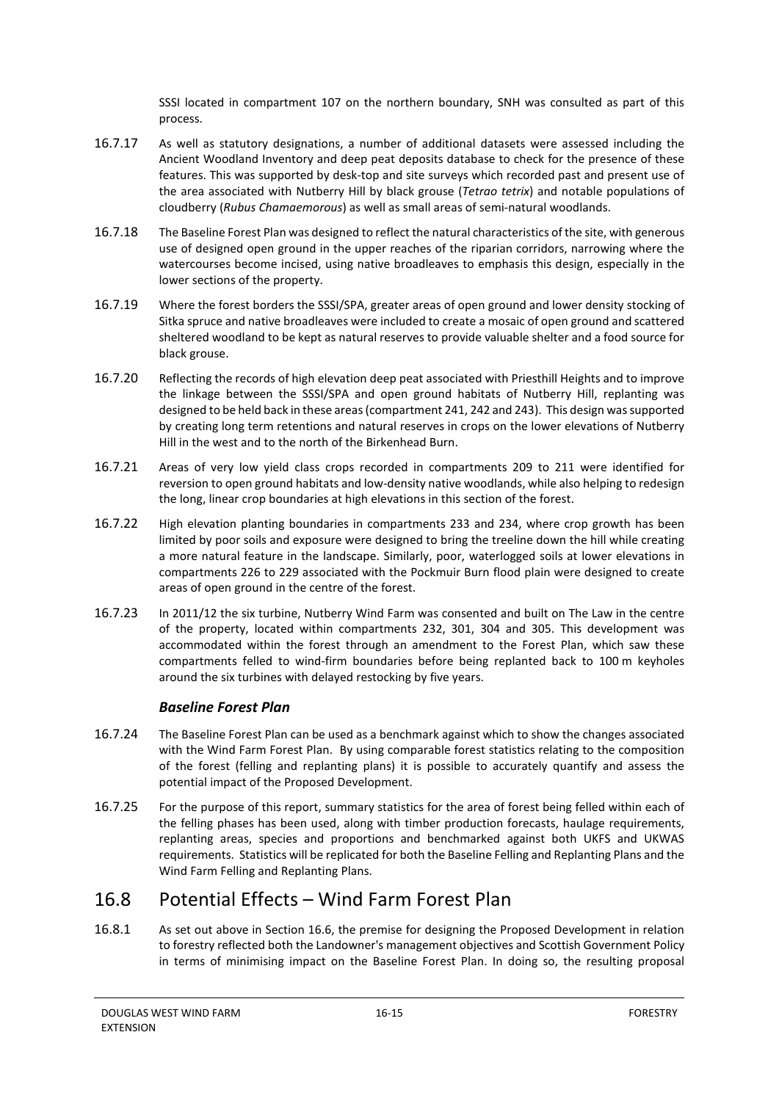SSSI located in compartment 107 on the northern boundary, SNH was consulted as part of this process.

- 16.7.17 As well as statutory designations, a number of additional datasets were assessed including the Ancient Woodland Inventory and deep peat deposits database to check for the presence of these features. This was supported by desk-top and site surveys which recorded past and present use of the area associated with Nutberry Hill by black grouse (*Tetrao tetrix*) and notable populations of cloudberry (*Rubus Chamaemorous*) as well as small areas of semi-natural woodlands.
- 16.7.18 The Baseline Forest Plan was designed to reflect the natural characteristics of the site, with generous use of designed open ground in the upper reaches of the riparian corridors, narrowing where the watercourses become incised, using native broadleaves to emphasis this design, especially in the lower sections of the property.
- 16.7.19 Where the forest borders the SSSI/SPA, greater areas of open ground and lower density stocking of Sitka spruce and native broadleaves were included to create a mosaic of open ground and scattered sheltered woodland to be kept as natural reserves to provide valuable shelter and a food source for black grouse.
- 16.7.20 Reflecting the records of high elevation deep peat associated with Priesthill Heights and to improve the linkage between the SSSI/SPA and open ground habitats of Nutberry Hill, replanting was designed to be held back in these areas (compartment 241, 242 and 243). This design was supported by creating long term retentions and natural reserves in crops on the lower elevations of Nutberry Hill in the west and to the north of the Birkenhead Burn.
- 16.7.21 Areas of very low yield class crops recorded in compartments 209 to 211 were identified for reversion to open ground habitats and low-density native woodlands, while also helping to redesign the long, linear crop boundaries at high elevations in this section of the forest.
- 16.7.22 High elevation planting boundaries in compartments 233 and 234, where crop growth has been limited by poor soils and exposure were designed to bring the treeline down the hill while creating a more natural feature in the landscape. Similarly, poor, waterlogged soils at lower elevations in compartments 226 to 229 associated with the Pockmuir Burn flood plain were designed to create areas of open ground in the centre of the forest.
- 16.7.23 In 2011/12 the six turbine, Nutberry Wind Farm was consented and built on The Law in the centre of the property, located within compartments 232, 301, 304 and 305. This development was accommodated within the forest through an amendment to the Forest Plan, which saw these compartments felled to wind-firm boundaries before being replanted back to 100 m keyholes around the six turbines with delayed restocking by five years.

# *Baseline Forest Plan*

- 16.7.24 The Baseline Forest Plan can be used as a benchmark against which to show the changes associated with the Wind Farm Forest Plan. By using comparable forest statistics relating to the composition of the forest (felling and replanting plans) it is possible to accurately quantify and assess the potential impact of the Proposed Development.
- 16.7.25 For the purpose of this report, summary statistics for the area of forest being felled within each of the felling phases has been used, along with timber production forecasts, haulage requirements, replanting areas, species and proportions and benchmarked against both UKFS and UKWAS requirements. Statistics will be replicated for both the Baseline Felling and Replanting Plans and the Wind Farm Felling and Replanting Plans.

# <span id="page-16-0"></span>16.8 Potential Effects – Wind Farm Forest Plan

16.8.1 As set out above in Section 16.6, the premise for designing the Proposed Development in relation to forestry reflected both the Landowner's management objectives and Scottish Government Policy in terms of minimising impact on the Baseline Forest Plan. In doing so, the resulting proposal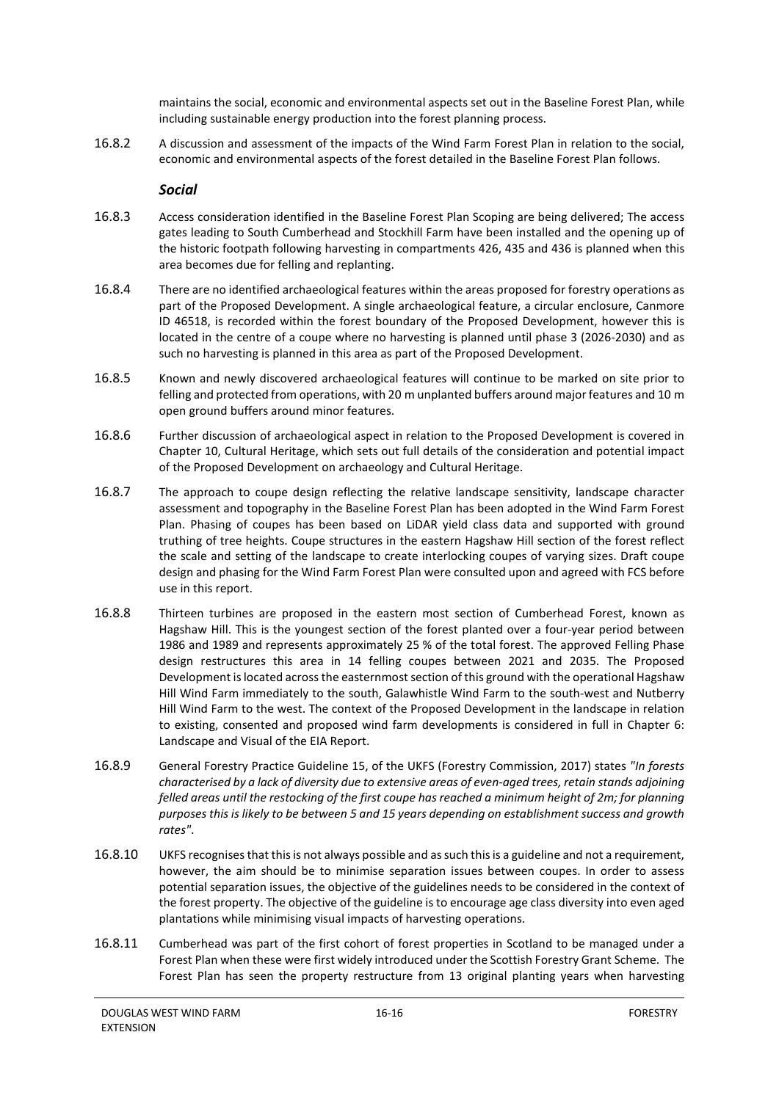maintains the social, economic and environmental aspects set out in the Baseline Forest Plan, while including sustainable energy production into the forest planning process.

16.8.2 A discussion and assessment of the impacts of the Wind Farm Forest Plan in relation to the social, economic and environmental aspects of the forest detailed in the Baseline Forest Plan follows.

# *Social*

- 16.8.3 Access consideration identified in the Baseline Forest Plan Scoping are being delivered; The access gates leading to South Cumberhead and Stockhill Farm have been installed and the opening up of the historic footpath following harvesting in compartments 426, 435 and 436 is planned when this area becomes due for felling and replanting.
- 16.8.4 There are no identified archaeological features within the areas proposed for forestry operations as part of the Proposed Development. A single archaeological feature, a circular enclosure, Canmore ID 46518, is recorded within the forest boundary of the Proposed Development, however this is located in the centre of a coupe where no harvesting is planned until phase 3 (2026-2030) and as such no harvesting is planned in this area as part of the Proposed Development.
- 16.8.5 Known and newly discovered archaeological features will continue to be marked on site prior to felling and protected from operations, with 20 m unplanted buffers around major features and 10 m open ground buffers around minor features.
- 16.8.6 Further discussion of archaeological aspect in relation to the Proposed Development is covered in Chapter 10, Cultural Heritage, which sets out full details of the consideration and potential impact of the Proposed Development on archaeology and Cultural Heritage.
- 16.8.7 The approach to coupe design reflecting the relative landscape sensitivity, landscape character assessment and topography in the Baseline Forest Plan has been adopted in the Wind Farm Forest Plan. Phasing of coupes has been based on LiDAR yield class data and supported with ground truthing of tree heights. Coupe structures in the eastern Hagshaw Hill section of the forest reflect the scale and setting of the landscape to create interlocking coupes of varying sizes. Draft coupe design and phasing for the Wind Farm Forest Plan were consulted upon and agreed with FCS before use in this report.
- 16.8.8 Thirteen turbines are proposed in the eastern most section of Cumberhead Forest, known as Hagshaw Hill. This is the youngest section of the forest planted over a four-year period between 1986 and 1989 and represents approximately 25 % of the total forest. The approved Felling Phase design restructures this area in 14 felling coupes between 2021 and 2035. The Proposed Development is located across the easternmost section of this ground with the operational Hagshaw Hill Wind Farm immediately to the south, Galawhistle Wind Farm to the south-west and Nutberry Hill Wind Farm to the west. The context of the Proposed Development in the landscape in relation to existing, consented and proposed wind farm developments is considered in full in Chapter 6: Landscape and Visual of the EIA Report.
- 16.8.9 General Forestry Practice Guideline 15, of the UKFS (Forestry Commission, 2017) states *"In forests characterised by a lack of diversity due to extensive areas of even-aged trees, retain stands adjoining felled areas until the restocking of the first coupe has reached a minimum height of 2m; for planning purposes this is likely to be between 5 and 15 years depending on establishment success and growth rates"*.
- 16.8.10 UKFS recognises that this is not always possible and as such this is a guideline and not a requirement, however, the aim should be to minimise separation issues between coupes. In order to assess potential separation issues, the objective of the guidelines needs to be considered in the context of the forest property. The objective of the guideline is to encourage age class diversity into even aged plantations while minimising visual impacts of harvesting operations.
- 16.8.11 Cumberhead was part of the first cohort of forest properties in Scotland to be managed under a Forest Plan when these were first widely introduced under the Scottish Forestry Grant Scheme. The Forest Plan has seen the property restructure from 13 original planting years when harvesting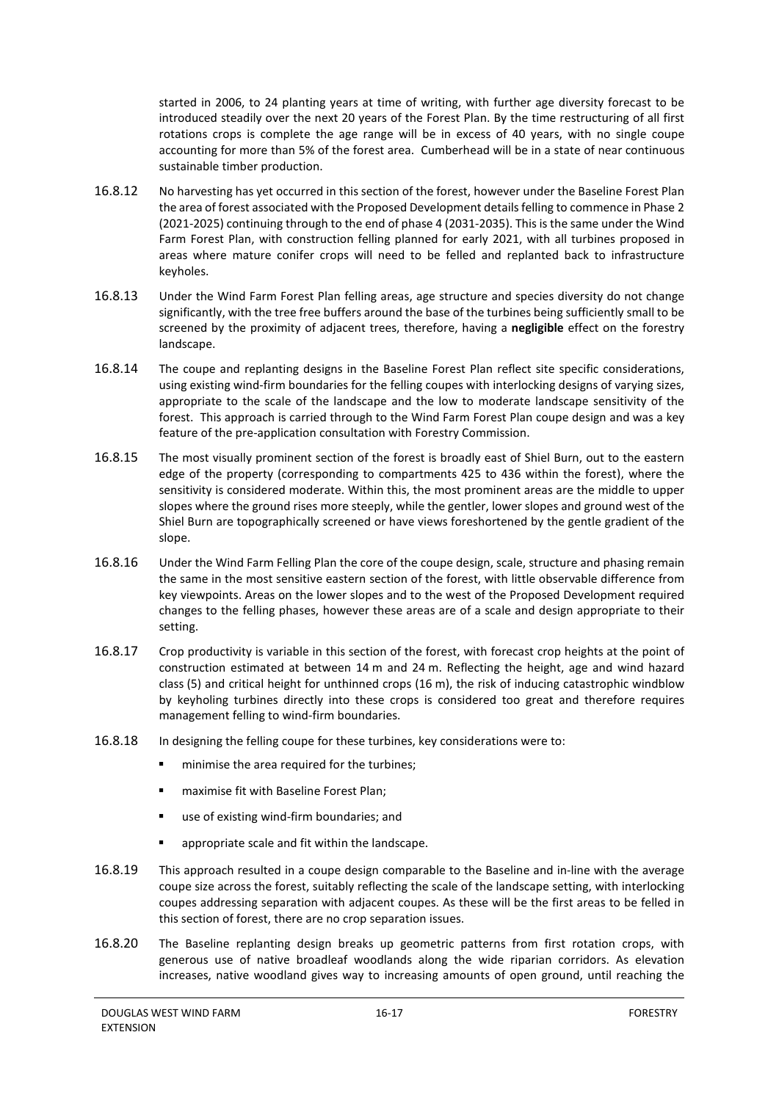started in 2006, to 24 planting years at time of writing, with further age diversity forecast to be introduced steadily over the next 20 years of the Forest Plan. By the time restructuring of all first rotations crops is complete the age range will be in excess of 40 years, with no single coupe accounting for more than 5% of the forest area. Cumberhead will be in a state of near continuous sustainable timber production.

- 16.8.12 No harvesting has yet occurred in this section of the forest, however under the Baseline Forest Plan the area of forest associated with the Proposed Development details felling to commence in Phase 2 (2021-2025) continuing through to the end of phase 4 (2031-2035). This is the same under the Wind Farm Forest Plan, with construction felling planned for early 2021, with all turbines proposed in areas where mature conifer crops will need to be felled and replanted back to infrastructure keyholes.
- 16.8.13 Under the Wind Farm Forest Plan felling areas, age structure and species diversity do not change significantly, with the tree free buffers around the base of the turbines being sufficiently small to be screened by the proximity of adjacent trees, therefore, having a **negligible** effect on the forestry landscape.
- 16.8.14 The coupe and replanting designs in the Baseline Forest Plan reflect site specific considerations, using existing wind-firm boundaries for the felling coupes with interlocking designs of varying sizes, appropriate to the scale of the landscape and the low to moderate landscape sensitivity of the forest. This approach is carried through to the Wind Farm Forest Plan coupe design and was a key feature of the pre-application consultation with Forestry Commission.
- 16.8.15 The most visually prominent section of the forest is broadly east of Shiel Burn, out to the eastern edge of the property (corresponding to compartments 425 to 436 within the forest), where the sensitivity is considered moderate. Within this, the most prominent areas are the middle to upper slopes where the ground rises more steeply, while the gentler, lower slopes and ground west of the Shiel Burn are topographically screened or have views foreshortened by the gentle gradient of the slope.
- 16.8.16 Under the Wind Farm Felling Plan the core of the coupe design, scale, structure and phasing remain the same in the most sensitive eastern section of the forest, with little observable difference from key viewpoints. Areas on the lower slopes and to the west of the Proposed Development required changes to the felling phases, however these areas are of a scale and design appropriate to their setting.
- 16.8.17 Crop productivity is variable in this section of the forest, with forecast crop heights at the point of construction estimated at between 14 m and 24 m. Reflecting the height, age and wind hazard class (5) and critical height for unthinned crops (16 m), the risk of inducing catastrophic windblow by keyholing turbines directly into these crops is considered too great and therefore requires management felling to wind-firm boundaries.
- 16.8.18 In designing the felling coupe for these turbines, key considerations were to:
	- minimise the area required for the turbines;
	- **EXEDENT MAXA** maximise fit with Baseline Forest Plan;
	- use of existing wind-firm boundaries; and
	- appropriate scale and fit within the landscape.
- 16.8.19 This approach resulted in a coupe design comparable to the Baseline and in-line with the average coupe size across the forest, suitably reflecting the scale of the landscape setting, with interlocking coupes addressing separation with adjacent coupes. As these will be the first areas to be felled in this section of forest, there are no crop separation issues.
- 16.8.20 The Baseline replanting design breaks up geometric patterns from first rotation crops, with generous use of native broadleaf woodlands along the wide riparian corridors. As elevation increases, native woodland gives way to increasing amounts of open ground, until reaching the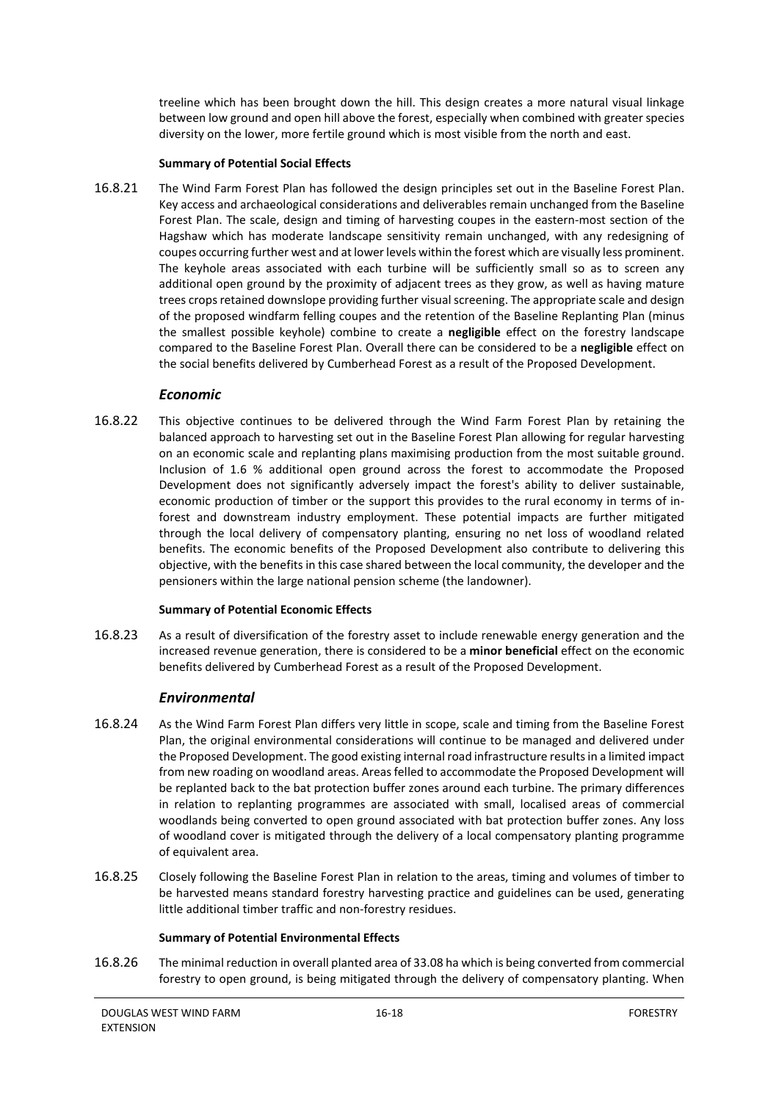treeline which has been brought down the hill. This design creates a more natural visual linkage between low ground and open hill above the forest, especially when combined with greater species diversity on the lower, more fertile ground which is most visible from the north and east.

#### **Summary of Potential Social Effects**

16.8.21 The Wind Farm Forest Plan has followed the design principles set out in the Baseline Forest Plan. Key access and archaeological considerations and deliverables remain unchanged from the Baseline Forest Plan. The scale, design and timing of harvesting coupes in the eastern-most section of the Hagshaw which has moderate landscape sensitivity remain unchanged, with any redesigning of coupes occurring further west and at lower levels within the forest which are visually less prominent. The keyhole areas associated with each turbine will be sufficiently small so as to screen any additional open ground by the proximity of adjacent trees as they grow, as well as having mature trees crops retained downslope providing further visual screening. The appropriate scale and design of the proposed windfarm felling coupes and the retention of the Baseline Replanting Plan (minus the smallest possible keyhole) combine to create a **negligible** effect on the forestry landscape compared to the Baseline Forest Plan. Overall there can be considered to be a **negligible** effect on the social benefits delivered by Cumberhead Forest as a result of the Proposed Development.

# *Economic*

16.8.22 This objective continues to be delivered through the Wind Farm Forest Plan by retaining the balanced approach to harvesting set out in the Baseline Forest Plan allowing for regular harvesting on an economic scale and replanting plans maximising production from the most suitable ground. Inclusion of 1.6 % additional open ground across the forest to accommodate the Proposed Development does not significantly adversely impact the forest's ability to deliver sustainable, economic production of timber or the support this provides to the rural economy in terms of inforest and downstream industry employment. These potential impacts are further mitigated through the local delivery of compensatory planting, ensuring no net loss of woodland related benefits. The economic benefits of the Proposed Development also contribute to delivering this objective, with the benefits in this case shared between the local community, the developer and the pensioners within the large national pension scheme (the landowner).

# **Summary of Potential Economic Effects**

16.8.23 As a result of diversification of the forestry asset to include renewable energy generation and the increased revenue generation, there is considered to be a **minor beneficial** effect on the economic benefits delivered by Cumberhead Forest as a result of the Proposed Development.

# *Environmental*

- 16.8.24 As the Wind Farm Forest Plan differs very little in scope, scale and timing from the Baseline Forest Plan, the original environmental considerations will continue to be managed and delivered under the Proposed Development. The good existing internal road infrastructure results in a limited impact from new roading on woodland areas. Areas felled to accommodate the Proposed Development will be replanted back to the bat protection buffer zones around each turbine. The primary differences in relation to replanting programmes are associated with small, localised areas of commercial woodlands being converted to open ground associated with bat protection buffer zones. Any loss of woodland cover is mitigated through the delivery of a local compensatory planting programme of equivalent area.
- 16.8.25 Closely following the Baseline Forest Plan in relation to the areas, timing and volumes of timber to be harvested means standard forestry harvesting practice and guidelines can be used, generating little additional timber traffic and non-forestry residues.

# **Summary of Potential Environmental Effects**

16.8.26 The minimal reduction in overall planted area of 33.08 ha which is being converted from commercial forestry to open ground, is being mitigated through the delivery of compensatory planting. When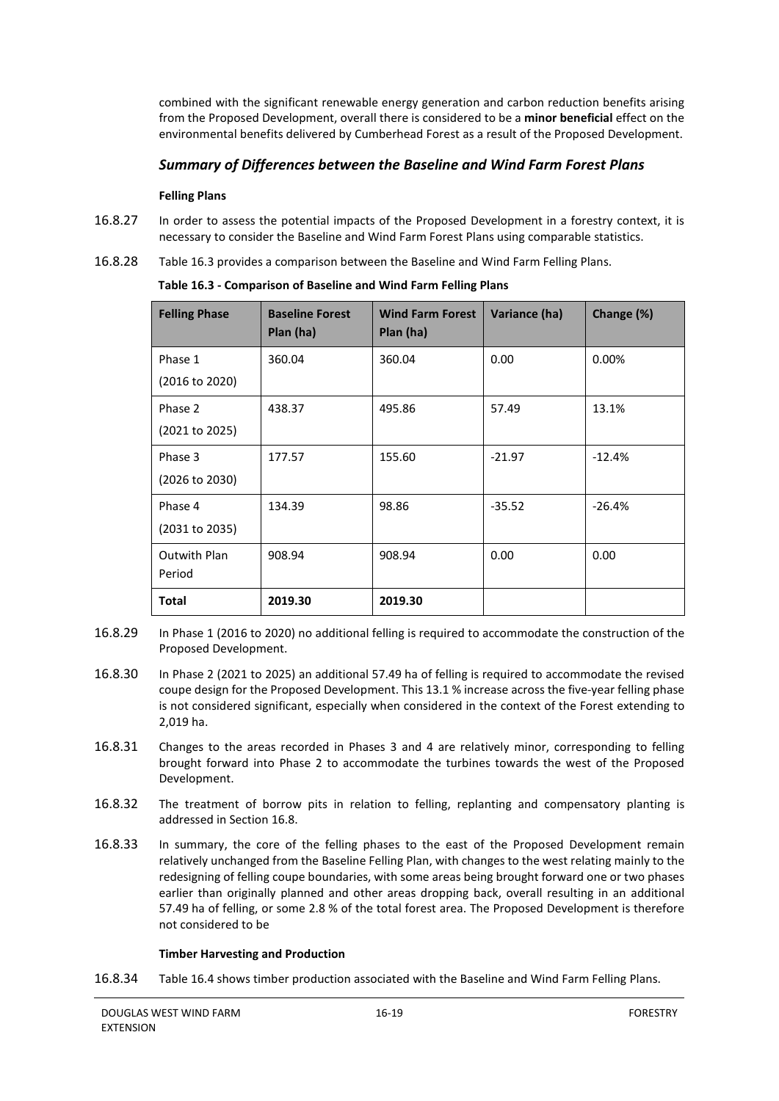combined with the significant renewable energy generation and carbon reduction benefits arising from the Proposed Development, overall there is considered to be a **minor beneficial** effect on the environmental benefits delivered by Cumberhead Forest as a result of the Proposed Development.

# *Summary of Differences between the Baseline and Wind Farm Forest Plans*

#### **Felling Plans**

- 16.8.27 In order to assess the potential impacts of the Proposed Development in a forestry context, it is necessary to consider the Baseline and Wind Farm Forest Plans using comparable statistics.
- 16.8.28 Table 16.3 provides a comparison between the Baseline and Wind Farm Felling Plans.

**Table 16.3 - Comparison of Baseline and Wind Farm Felling Plans**

| <b>Felling Phase</b> | <b>Baseline Forest</b><br>Plan (ha) | <b>Wind Farm Forest</b><br>Plan (ha) | Variance (ha) | Change (%) |
|----------------------|-------------------------------------|--------------------------------------|---------------|------------|
| Phase 1              | 360.04                              | 360.04                               | 0.00          | 0.00%      |
| (2016 to 2020)       |                                     |                                      |               |            |
| Phase 2              | 438.37                              | 495.86                               | 57.49         | 13.1%      |
| (2021 to 2025)       |                                     |                                      |               |            |
| Phase 3              | 177.57                              | 155.60                               | $-21.97$      | $-12.4%$   |
| (2026 to 2030)       |                                     |                                      |               |            |
| Phase 4              | 134.39                              | 98.86                                | $-35.52$      | $-26.4%$   |
| (2031 to 2035)       |                                     |                                      |               |            |
| Outwith Plan         | 908.94                              | 908.94                               | 0.00          | 0.00       |
| Period               |                                     |                                      |               |            |
| Total                | 2019.30                             | 2019.30                              |               |            |

- 16.8.29 In Phase 1 (2016 to 2020) no additional felling is required to accommodate the construction of the Proposed Development.
- 16.8.30 In Phase 2 (2021 to 2025) an additional 57.49 ha of felling is required to accommodate the revised coupe design for the Proposed Development. This 13.1 % increase across the five-year felling phase is not considered significant, especially when considered in the context of the Forest extending to 2,019 ha.
- 16.8.31 Changes to the areas recorded in Phases 3 and 4 are relatively minor, corresponding to felling brought forward into Phase 2 to accommodate the turbines towards the west of the Proposed Development.
- 16.8.32 The treatment of borrow pits in relation to felling, replanting and compensatory planting is addressed in Section 16.8.
- 16.8.33 In summary, the core of the felling phases to the east of the Proposed Development remain relatively unchanged from the Baseline Felling Plan, with changes to the west relating mainly to the redesigning of felling coupe boundaries, with some areas being brought forward one or two phases earlier than originally planned and other areas dropping back, overall resulting in an additional 57.49 ha of felling, or some 2.8 % of the total forest area. The Proposed Development is therefore not considered to be

#### **Timber Harvesting and Production**

16.8.34 Table 16.4 shows timber production associated with the Baseline and Wind Farm Felling Plans.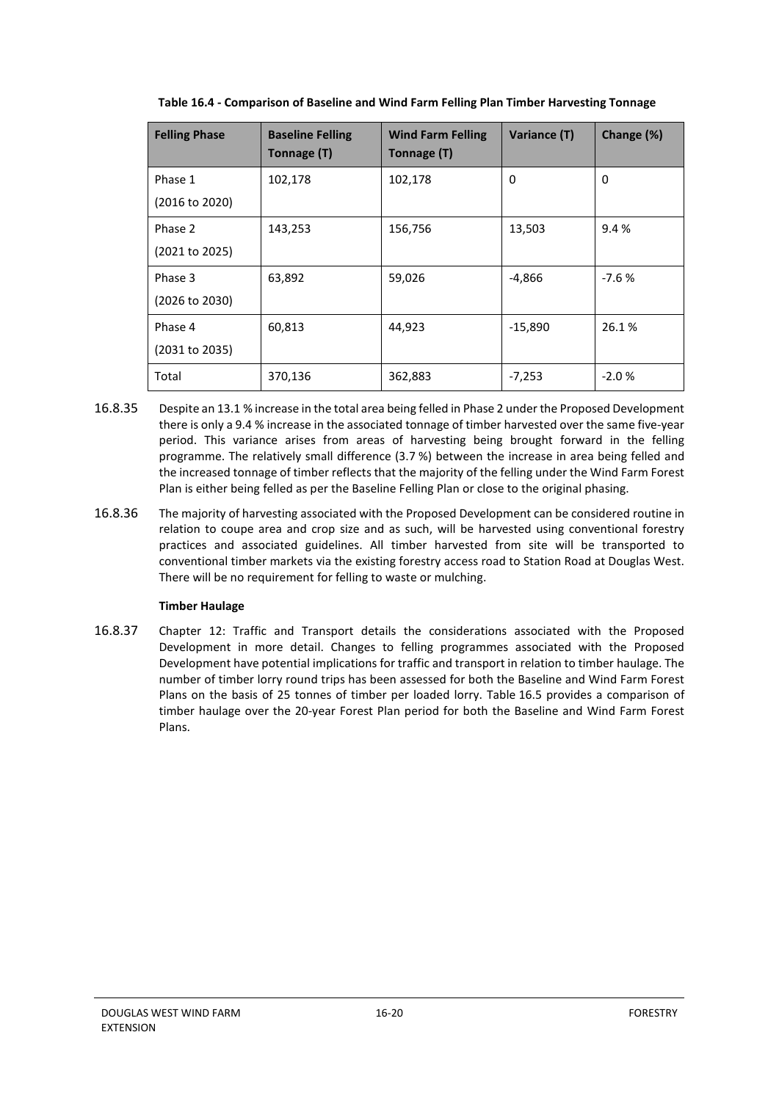| <b>Felling Phase</b>      | <b>Baseline Felling</b><br>Tonnage (T) | <b>Wind Farm Felling</b><br>Tonnage (T) | Variance (T) | Change (%) |
|---------------------------|----------------------------------------|-----------------------------------------|--------------|------------|
| Phase 1<br>(2016 to 2020) | 102,178                                | 102,178                                 | 0            | $\Omega$   |
| Phase 2<br>(2021 to 2025) | 143,253                                | 156,756                                 | 13,503       | 9.4%       |
| Phase 3<br>(2026 to 2030) | 63,892                                 | 59,026                                  | $-4,866$     | $-7.6%$    |
| Phase 4<br>(2031 to 2035) | 60,813                                 | 44,923                                  | $-15,890$    | 26.1%      |
| Total                     | 370,136                                | 362,883                                 | $-7,253$     | $-2.0%$    |

**Table 16.4 - Comparison of Baseline and Wind Farm Felling Plan Timber Harvesting Tonnage**

- 16.8.35 Despite an 13.1 % increase in the total area being felled in Phase 2 under the Proposed Development there is only a 9.4 % increase in the associated tonnage of timber harvested over the same five-year period. This variance arises from areas of harvesting being brought forward in the felling programme. The relatively small difference (3.7 %) between the increase in area being felled and the increased tonnage of timber reflects that the majority of the felling under the Wind Farm Forest Plan is either being felled as per the Baseline Felling Plan or close to the original phasing.
- 16.8.36 The majority of harvesting associated with the Proposed Development can be considered routine in relation to coupe area and crop size and as such, will be harvested using conventional forestry practices and associated guidelines. All timber harvested from site will be transported to conventional timber markets via the existing forestry access road to Station Road at Douglas West. There will be no requirement for felling to waste or mulching.

# **Timber Haulage**

16.8.37 Chapter 12: Traffic and Transport details the considerations associated with the Proposed Development in more detail. Changes to felling programmes associated with the Proposed Development have potential implications for traffic and transport in relation to timber haulage. The number of timber lorry round trips has been assessed for both the Baseline and Wind Farm Forest Plans on the basis of 25 tonnes of timber per loaded lorry. Table 16.5 provides a comparison of timber haulage over the 20-year Forest Plan period for both the Baseline and Wind Farm Forest Plans.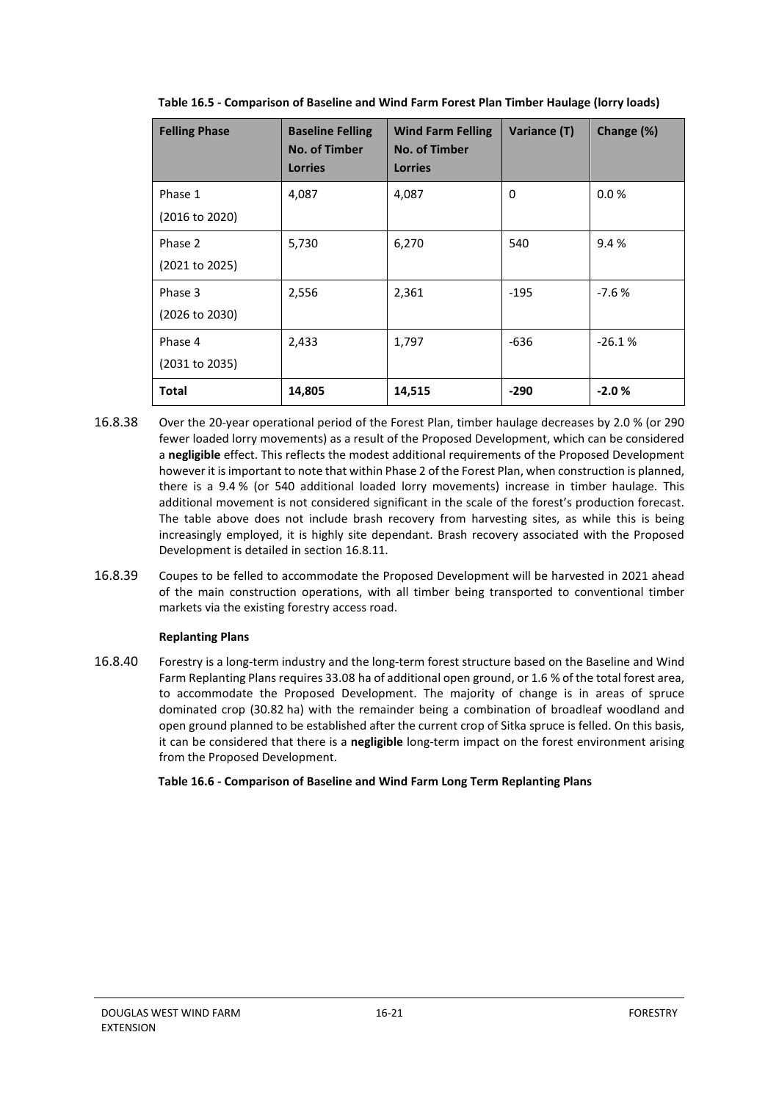| <b>Felling Phase</b>                 | <b>Baseline Felling</b><br><b>No. of Timber</b><br><b>Lorries</b> | <b>Wind Farm Felling</b><br><b>No. of Timber</b><br><b>Lorries</b> | Variance (T) | Change (%) |
|--------------------------------------|-------------------------------------------------------------------|--------------------------------------------------------------------|--------------|------------|
| Phase 1<br>(2016 to 2020)            | 4,087                                                             | 4,087                                                              | $\Omega$     | 0.0%       |
| Phase 2<br>(2021 to 2025)            | 5,730                                                             | 6,270                                                              | 540          | 9.4%       |
| Phase 3<br>$(2026 \text{ to } 2030)$ | 2,556                                                             | 2,361                                                              | $-195$       | $-7.6%$    |
| Phase 4<br>(2031 to 2035)            | 2,433                                                             | 1,797                                                              | $-636$       | $-26.1%$   |
| <b>Total</b>                         | 14,805                                                            | 14,515                                                             | $-290$       | $-2.0%$    |

**Table 16.5 - Comparison of Baseline and Wind Farm Forest Plan Timber Haulage (lorry loads)**

- 16.8.38 Over the 20-year operational period of the Forest Plan, timber haulage decreases by 2.0 % (or 290 fewer loaded lorry movements) as a result of the Proposed Development, which can be considered a **negligible** effect. This reflects the modest additional requirements of the Proposed Development however it is important to note that within Phase 2 of the Forest Plan, when construction is planned, there is a 9.4 % (or 540 additional loaded lorry movements) increase in timber haulage. This additional movement is not considered significant in the scale of the forest's production forecast. The table above does not include brash recovery from harvesting sites, as while this is being increasingly employed, it is highly site dependant. Brash recovery associated with the Proposed Development is detailed in section 16.8.11.
- 16.8.39 Coupes to be felled to accommodate the Proposed Development will be harvested in 2021 ahead of the main construction operations, with all timber being transported to conventional timber markets via the existing forestry access road.

# **Replanting Plans**

16.8.40 Forestry is a long-term industry and the long-term forest structure based on the Baseline and Wind Farm Replanting Plans requires 33.08 ha of additional open ground, or 1.6 % of the total forest area, to accommodate the Proposed Development. The majority of change is in areas of spruce dominated crop (30.82 ha) with the remainder being a combination of broadleaf woodland and open ground planned to be established after the current crop of Sitka spruce is felled. On this basis, it can be considered that there is a **negligible** long-term impact on the forest environment arising from the Proposed Development.

# **Table 16.6 - Comparison of Baseline and Wind Farm Long Term Replanting Plans**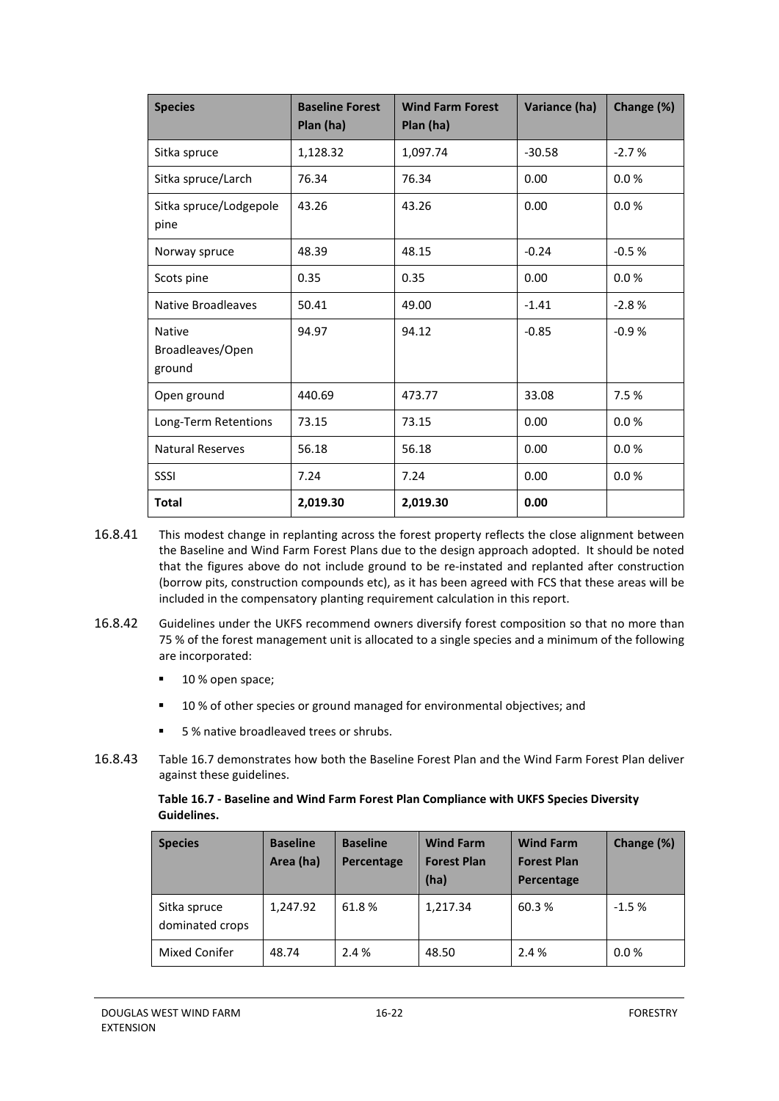| <b>Species</b>                              | <b>Baseline Forest</b><br>Plan (ha) | <b>Wind Farm Forest</b><br>Plan (ha) | Variance (ha) | Change (%) |
|---------------------------------------------|-------------------------------------|--------------------------------------|---------------|------------|
| Sitka spruce                                | 1,128.32                            | 1,097.74                             | $-30.58$      | $-2.7%$    |
| Sitka spruce/Larch                          | 76.34                               | 76.34                                | 0.00          | 0.0%       |
| Sitka spruce/Lodgepole<br>pine              | 43.26                               | 43.26                                | 0.00          | 0.0%       |
| Norway spruce                               | 48.39                               | 48.15                                | $-0.24$       | $-0.5%$    |
| Scots pine                                  | 0.35                                | 0.35                                 | 0.00          | 0.0%       |
| <b>Native Broadleaves</b>                   | 50.41                               | 49.00                                | $-1.41$       | $-2.8%$    |
| <b>Native</b><br>Broadleaves/Open<br>ground | 94.97                               | 94.12                                | $-0.85$       | $-0.9%$    |
| Open ground                                 | 440.69                              | 473.77                               | 33.08         | 7.5%       |
| Long-Term Retentions                        | 73.15                               | 73.15                                | 0.00          | 0.0%       |
| <b>Natural Reserves</b>                     | 56.18                               | 56.18                                | 0.00          | 0.0%       |
| <b>SSSI</b>                                 | 7.24                                | 7.24                                 | 0.00          | 0.0%       |
| <b>Total</b>                                | 2,019.30                            | 2,019.30                             | 0.00          |            |

- 16.8.41 This modest change in replanting across the forest property reflects the close alignment between the Baseline and Wind Farm Forest Plans due to the design approach adopted. It should be noted that the figures above do not include ground to be re-instated and replanted after construction (borrow pits, construction compounds etc), as it has been agreed with FCS that these areas will be included in the compensatory planting requirement calculation in this report.
- 16.8.42 Guidelines under the UKFS recommend owners diversify forest composition so that no more than 75 % of the forest management unit is allocated to a single species and a minimum of the following are incorporated:
	- 10 % open space;
	- 10 % of other species or ground managed for environmental objectives; and
	- 5 % native broadleaved trees or shrubs.
- 16.8.43 Table 16.7 demonstrates how both the Baseline Forest Plan and the Wind Farm Forest Plan deliver against these guidelines.

#### **Table 16.7 - Baseline and Wind Farm Forest Plan Compliance with UKFS Species Diversity Guidelines.**

| <b>Species</b>                  | <b>Baseline</b><br>Area (ha) | <b>Baseline</b><br>Percentage | <b>Wind Farm</b><br><b>Forest Plan</b><br>(ha) | <b>Wind Farm</b><br><b>Forest Plan</b><br>Percentage | Change (%) |
|---------------------------------|------------------------------|-------------------------------|------------------------------------------------|------------------------------------------------------|------------|
| Sitka spruce<br>dominated crops | 1,247.92                     | 61.8%                         | 1,217.34                                       | 60.3 %                                               | $-1.5%$    |
| <b>Mixed Conifer</b>            | 48.74                        | 2.4 %                         | 48.50                                          | 2.4 %                                                | 0.0%       |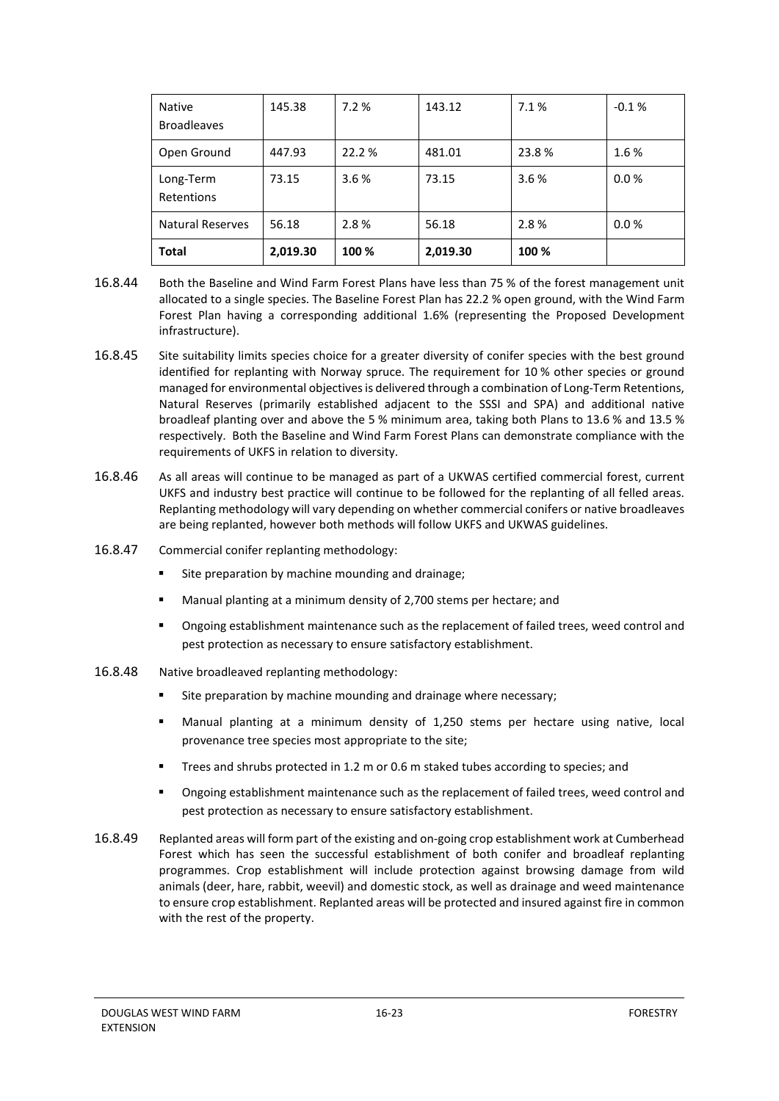| <b>Native</b><br><b>Broadleaves</b> | 145.38   | 7.2%   | 143.12   | 7.1%  | $-0.1%$ |
|-------------------------------------|----------|--------|----------|-------|---------|
| Open Ground                         | 447.93   | 22.2 % | 481.01   | 23.8% | 1.6%    |
| Long-Term<br>Retentions             | 73.15    | 3.6%   | 73.15    | 3.6%  | 0.0%    |
| <b>Natural Reserves</b>             | 56.18    | 2.8%   | 56.18    | 2.8%  | 0.0%    |
| Total                               | 2,019.30 | 100 %  | 2,019.30 | 100 % |         |

- 16.8.44 Both the Baseline and Wind Farm Forest Plans have less than 75 % of the forest management unit allocated to a single species. The Baseline Forest Plan has 22.2 % open ground, with the Wind Farm Forest Plan having a corresponding additional 1.6% (representing the Proposed Development infrastructure).
- 16.8.45 Site suitability limits species choice for a greater diversity of conifer species with the best ground identified for replanting with Norway spruce. The requirement for 10 % other species or ground managed for environmental objectives is delivered through a combination of Long-Term Retentions, Natural Reserves (primarily established adjacent to the SSSI and SPA) and additional native broadleaf planting over and above the 5 % minimum area, taking both Plans to 13.6 % and 13.5 % respectively. Both the Baseline and Wind Farm Forest Plans can demonstrate compliance with the requirements of UKFS in relation to diversity.
- 16.8.46 As all areas will continue to be managed as part of a UKWAS certified commercial forest, current UKFS and industry best practice will continue to be followed for the replanting of all felled areas. Replanting methodology will vary depending on whether commercial conifers or native broadleaves are being replanted, however both methods will follow UKFS and UKWAS guidelines.
- 16.8.47 Commercial conifer replanting methodology:
	- **Site preparation by machine mounding and drainage;**
	- **Manual planting at a minimum density of 2,700 stems per hectare; and**
	- Ongoing establishment maintenance such as the replacement of failed trees, weed control and pest protection as necessary to ensure satisfactory establishment.
- 16.8.48 Native broadleaved replanting methodology:
	- Site preparation by machine mounding and drainage where necessary;
	- Manual planting at a minimum density of 1,250 stems per hectare using native, local provenance tree species most appropriate to the site;
	- Trees and shrubs protected in 1.2 m or 0.6 m staked tubes according to species; and
	- Ongoing establishment maintenance such as the replacement of failed trees, weed control and pest protection as necessary to ensure satisfactory establishment.
- 16.8.49 Replanted areas will form part of the existing and on-going crop establishment work at Cumberhead Forest which has seen the successful establishment of both conifer and broadleaf replanting programmes. Crop establishment will include protection against browsing damage from wild animals (deer, hare, rabbit, weevil) and domestic stock, as well as drainage and weed maintenance to ensure crop establishment. Replanted areas will be protected and insured against fire in common with the rest of the property.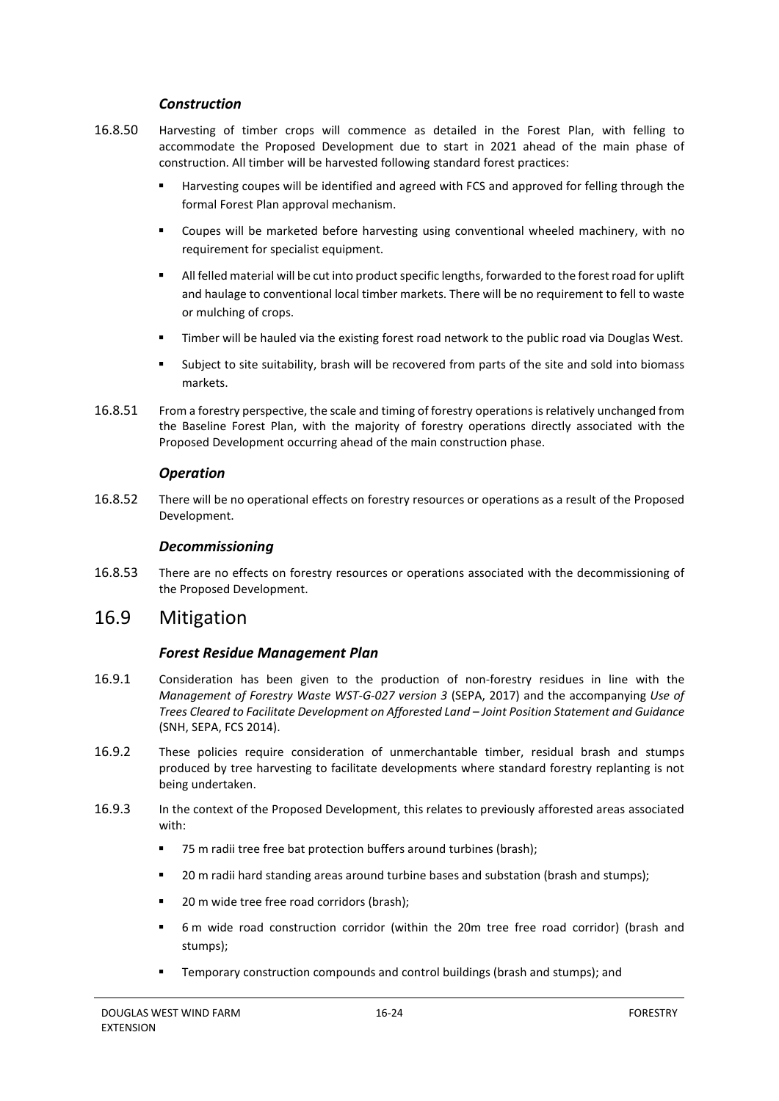# *Construction*

- 16.8.50 Harvesting of timber crops will commence as detailed in the Forest Plan, with felling to accommodate the Proposed Development due to start in 2021 ahead of the main phase of construction. All timber will be harvested following standard forest practices:
	- **Harvesting coupes will be identified and agreed with FCS and approved for felling through the** formal Forest Plan approval mechanism.
	- Coupes will be marketed before harvesting using conventional wheeled machinery, with no requirement for specialist equipment.
	- All felled material will be cut into product specific lengths, forwarded to the forest road for uplift and haulage to conventional local timber markets. There will be no requirement to fell to waste or mulching of crops.
	- Timber will be hauled via the existing forest road network to the public road via Douglas West.
	- Subject to site suitability, brash will be recovered from parts of the site and sold into biomass markets.
- 16.8.51 From a forestry perspective, the scale and timing of forestry operations is relatively unchanged from the Baseline Forest Plan, with the majority of forestry operations directly associated with the Proposed Development occurring ahead of the main construction phase.

# *Operation*

16.8.52 There will be no operational effects on forestry resources or operations as a result of the Proposed Development.

# *Decommissioning*

16.8.53 There are no effects on forestry resources or operations associated with the decommissioning of the Proposed Development.

# <span id="page-25-0"></span>16.9 Mitigation

# *Forest Residue Management Plan*

- 16.9.1 Consideration has been given to the production of non-forestry residues in line with the *Management of Forestry Waste WST-G-027 version 3* (SEPA, 2017) and the accompanying *Use of Trees Cleared to Facilitate Development on Afforested Land – Joint Position Statement and Guidance* (SNH, SEPA, FCS 2014).
- 16.9.2 These policies require consideration of unmerchantable timber, residual brash and stumps produced by tree harvesting to facilitate developments where standard forestry replanting is not being undertaken.
- 16.9.3 In the context of the Proposed Development, this relates to previously afforested areas associated with:
	- 75 m radii tree free bat protection buffers around turbines (brash);
	- **20 m radii hard standing areas around turbine bases and substation (brash and stumps);**
	- **20 m wide tree free road corridors (brash);**
	- 6 m wide road construction corridor (within the 20m tree free road corridor) (brash and stumps);
	- Temporary construction compounds and control buildings (brash and stumps); and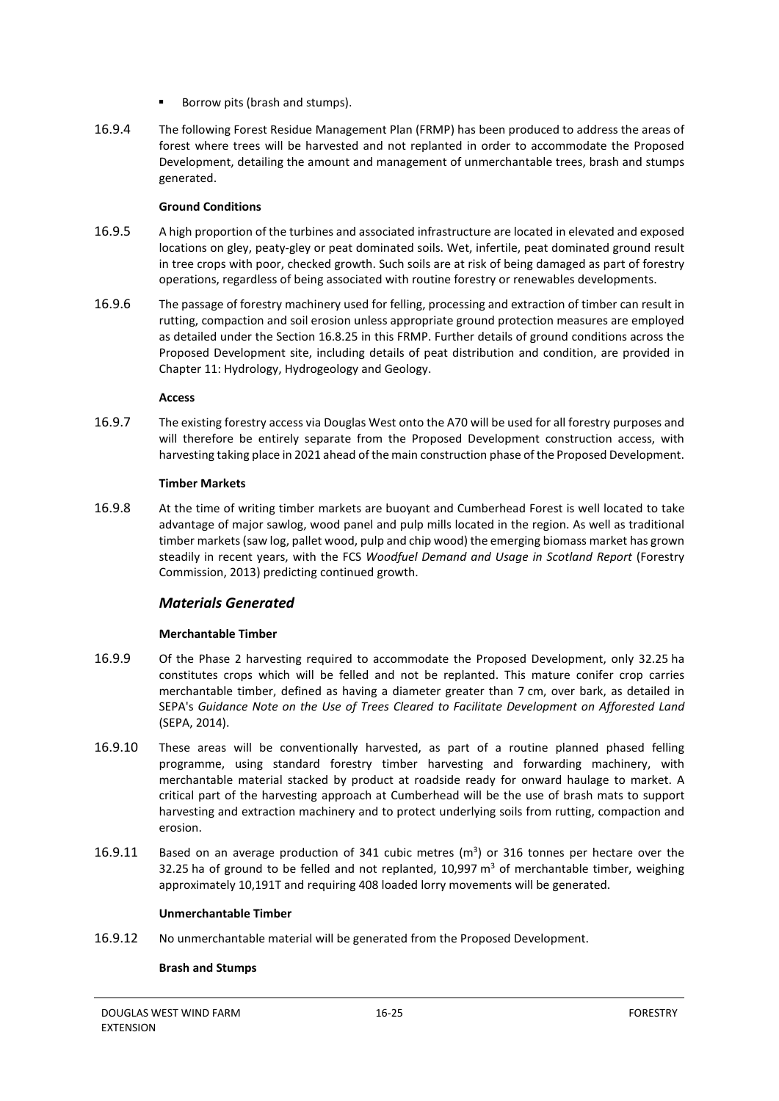- Borrow pits (brash and stumps).
- 16.9.4 The following Forest Residue Management Plan (FRMP) has been produced to address the areas of forest where trees will be harvested and not replanted in order to accommodate the Proposed Development, detailing the amount and management of unmerchantable trees, brash and stumps generated.

#### **Ground Conditions**

- 16.9.5 A high proportion of the turbines and associated infrastructure are located in elevated and exposed locations on gley, peaty-gley or peat dominated soils. Wet, infertile, peat dominated ground result in tree crops with poor, checked growth. Such soils are at risk of being damaged as part of forestry operations, regardless of being associated with routine forestry or renewables developments.
- 16.9.6 The passage of forestry machinery used for felling, processing and extraction of timber can result in rutting, compaction and soil erosion unless appropriate ground protection measures are employed as detailed under the Section 16.8.25 in this FRMP. Further details of ground conditions across the Proposed Development site, including details of peat distribution and condition, are provided in Chapter 11: Hydrology, Hydrogeology and Geology.

#### **Access**

16.9.7 The existing forestry access via Douglas West onto the A70 will be used for all forestry purposes and will therefore be entirely separate from the Proposed Development construction access, with harvesting taking place in 2021 ahead of the main construction phase of the Proposed Development.

#### **Timber Markets**

16.9.8 At the time of writing timber markets are buoyant and Cumberhead Forest is well located to take advantage of major sawlog, wood panel and pulp mills located in the region. As well as traditional timber markets (saw log, pallet wood, pulp and chip wood) the emerging biomass market has grown steadily in recent years, with the FCS *Woodfuel Demand and Usage in Scotland Report* (Forestry Commission, 2013) predicting continued growth.

# *Materials Generated*

# **Merchantable Timber**

- 16.9.9 Of the Phase 2 harvesting required to accommodate the Proposed Development, only 32.25 ha constitutes crops which will be felled and not be replanted. This mature conifer crop carries merchantable timber, defined as having a diameter greater than 7 cm, over bark, as detailed in SEPA's *Guidance Note on the Use of Trees Cleared to Facilitate Development on Afforested Land* (SEPA, 2014).
- 16.9.10 These areas will be conventionally harvested, as part of a routine planned phased felling programme, using standard forestry timber harvesting and forwarding machinery, with merchantable material stacked by product at roadside ready for onward haulage to market. A critical part of the harvesting approach at Cumberhead will be the use of brash mats to support harvesting and extraction machinery and to protect underlying soils from rutting, compaction and erosion.
- 16.9.11 Based on an average production of 341 cubic metres ( $m<sup>3</sup>$ ) or 316 tonnes per hectare over the 32.25 ha of ground to be felled and not replanted, 10,997  $m<sup>3</sup>$  of merchantable timber, weighing approximately 10,191T and requiring 408 loaded lorry movements will be generated.

# **Unmerchantable Timber**

16.9.12 No unmerchantable material will be generated from the Proposed Development.

# **Brash and Stumps**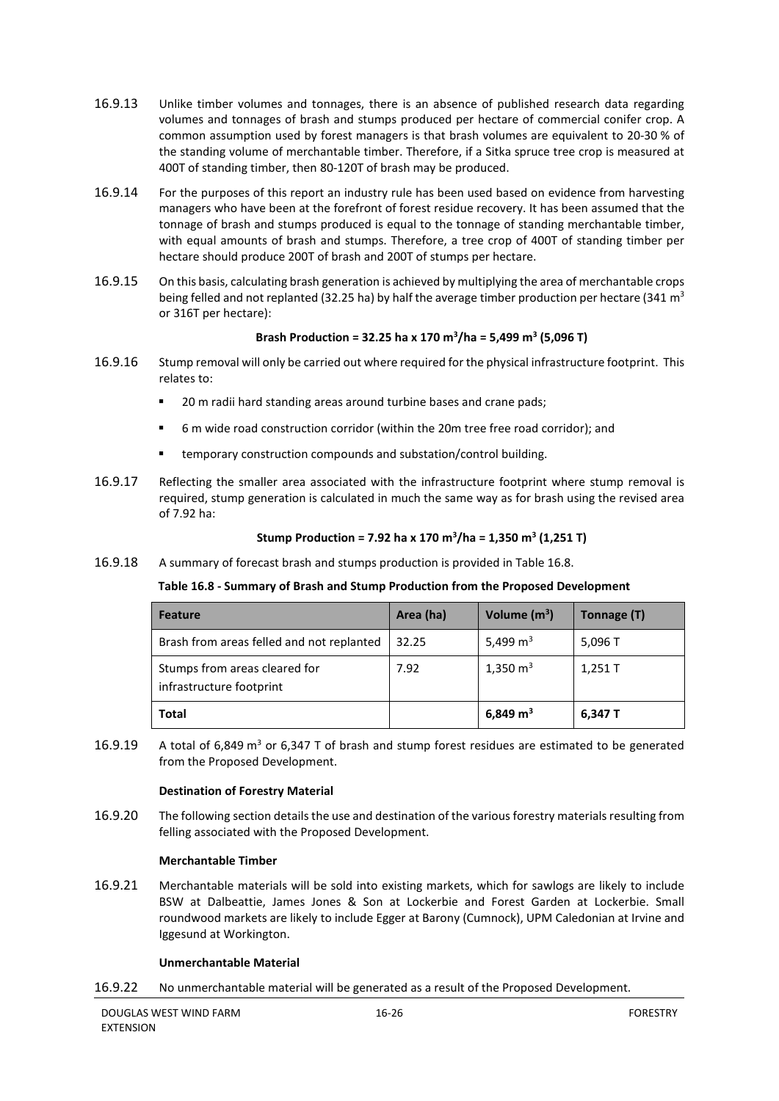- 16.9.13 Unlike timber volumes and tonnages, there is an absence of published research data regarding volumes and tonnages of brash and stumps produced per hectare of commercial conifer crop. A common assumption used by forest managers is that brash volumes are equivalent to 20-30 % of the standing volume of merchantable timber. Therefore, if a Sitka spruce tree crop is measured at 400T of standing timber, then 80-120T of brash may be produced.
- 16.9.14 For the purposes of this report an industry rule has been used based on evidence from harvesting managers who have been at the forefront of forest residue recovery. It has been assumed that the tonnage of brash and stumps produced is equal to the tonnage of standing merchantable timber, with equal amounts of brash and stumps. Therefore, a tree crop of 400T of standing timber per hectare should produce 200T of brash and 200T of stumps per hectare.
- 16.9.15 On this basis, calculating brash generation is achieved by multiplying the area of merchantable crops being felled and not replanted (32.25 ha) by half the average timber production per hectare (341  $m<sup>3</sup>$ or 316T per hectare):

# **Brash Production = 32.25 ha x 170 m3 /ha = 5,499 m3 (5,096 T)**

- 16.9.16 Stump removal will only be carried out where required for the physical infrastructure footprint. This relates to:
	- 20 m radii hard standing areas around turbine bases and crane pads;
	- 6 m wide road construction corridor (within the 20m tree free road corridor); and
	- temporary construction compounds and substation/control building.
- 16.9.17 Reflecting the smaller area associated with the infrastructure footprint where stump removal is required, stump generation is calculated in much the same way as for brash using the revised area of 7.92 ha:

# **Stump Production = 7.92 ha x 170 m3 /ha = 1,350 m3 (1,251 T)**

16.9.18 A summary of forecast brash and stumps production is provided in Table 16.8.

# **Table 16.8 - Summary of Brash and Stump Production from the Proposed Development**

| <b>Feature</b>                                            | Area (ha) | Volume $(m^3)$       | Tonnage (T) |
|-----------------------------------------------------------|-----------|----------------------|-------------|
| Brash from areas felled and not replanted                 | 32.25     | 5,499 m <sup>3</sup> | 5,096T      |
| Stumps from areas cleared for<br>infrastructure footprint | 7.92      | 1,350 $m3$           | $1,251$ T   |
| Total                                                     |           | 6,849 m <sup>3</sup> | 6,347 T     |

16.9.19 A total of 6,849 m<sup>3</sup> or 6,347 T of brash and stump forest residues are estimated to be generated from the Proposed Development.

# **Destination of Forestry Material**

16.9.20 The following section details the use and destination of the various forestry materials resulting from felling associated with the Proposed Development.

#### **Merchantable Timber**

16.9.21 Merchantable materials will be sold into existing markets, which for sawlogs are likely to include BSW at Dalbeattie, James Jones & Son at Lockerbie and Forest Garden at Lockerbie. Small roundwood markets are likely to include Egger at Barony (Cumnock), UPM Caledonian at Irvine and Iggesund at Workington.

#### **Unmerchantable Material**

16.9.22 No unmerchantable material will be generated as a result of the Proposed Development.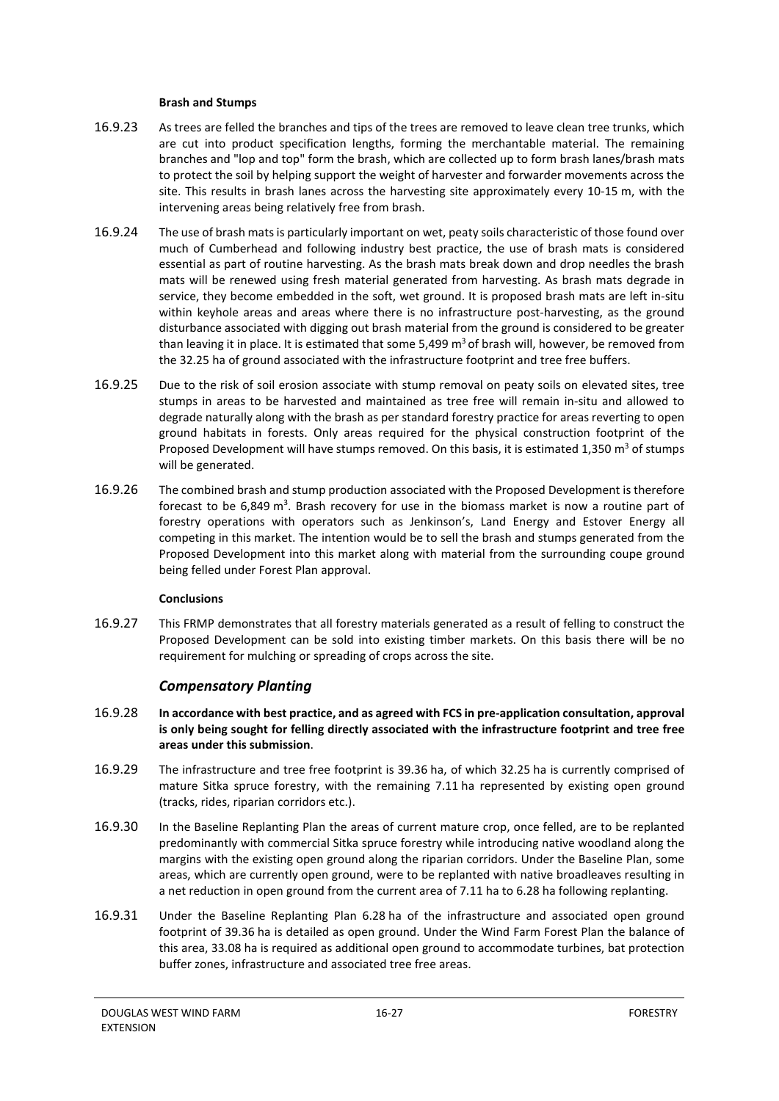#### **Brash and Stumps**

- 16.9.23 As trees are felled the branches and tips of the trees are removed to leave clean tree trunks, which are cut into product specification lengths, forming the merchantable material. The remaining branches and "lop and top" form the brash, which are collected up to form brash lanes/brash mats to protect the soil by helping support the weight of harvester and forwarder movements across the site. This results in brash lanes across the harvesting site approximately every 10-15 m, with the intervening areas being relatively free from brash.
- 16.9.24 The use of brash mats is particularly important on wet, peaty soils characteristic of those found over much of Cumberhead and following industry best practice, the use of brash mats is considered essential as part of routine harvesting. As the brash mats break down and drop needles the brash mats will be renewed using fresh material generated from harvesting. As brash mats degrade in service, they become embedded in the soft, wet ground. It is proposed brash mats are left in-situ within keyhole areas and areas where there is no infrastructure post-harvesting, as the ground disturbance associated with digging out brash material from the ground is considered to be greater than leaving it in place. It is estimated that some 5,499  $\text{m}^3$  of brash will, however, be removed from the 32.25 ha of ground associated with the infrastructure footprint and tree free buffers.
- 16.9.25 Due to the risk of soil erosion associate with stump removal on peaty soils on elevated sites, tree stumps in areas to be harvested and maintained as tree free will remain in-situ and allowed to degrade naturally along with the brash as per standard forestry practice for areas reverting to open ground habitats in forests. Only areas required for the physical construction footprint of the Proposed Development will have stumps removed. On this basis, it is estimated 1,350 m<sup>3</sup> of stumps will be generated.
- 16.9.26 The combined brash and stump production associated with the Proposed Development is therefore forecast to be  $6,849 \text{ m}^3$ . Brash recovery for use in the biomass market is now a routine part of forestry operations with operators such as Jenkinson's, Land Energy and Estover Energy all competing in this market. The intention would be to sell the brash and stumps generated from the Proposed Development into this market along with material from the surrounding coupe ground being felled under Forest Plan approval.

# **Conclusions**

16.9.27 This FRMP demonstrates that all forestry materials generated as a result of felling to construct the Proposed Development can be sold into existing timber markets. On this basis there will be no requirement for mulching or spreading of crops across the site.

# *Compensatory Planting*

- 16.9.28 **In accordance with best practice, and as agreed with FCS in pre-application consultation, approval is only being sought for felling directly associated with the infrastructure footprint and tree free areas under this submission**.
- 16.9.29 The infrastructure and tree free footprint is 39.36 ha, of which 32.25 ha is currently comprised of mature Sitka spruce forestry, with the remaining 7.11 ha represented by existing open ground (tracks, rides, riparian corridors etc.).
- 16.9.30 In the Baseline Replanting Plan the areas of current mature crop, once felled, are to be replanted predominantly with commercial Sitka spruce forestry while introducing native woodland along the margins with the existing open ground along the riparian corridors. Under the Baseline Plan, some areas, which are currently open ground, were to be replanted with native broadleaves resulting in a net reduction in open ground from the current area of 7.11 ha to 6.28 ha following replanting.
- 16.9.31 Under the Baseline Replanting Plan 6.28 ha of the infrastructure and associated open ground footprint of 39.36 ha is detailed as open ground. Under the Wind Farm Forest Plan the balance of this area, 33.08 ha is required as additional open ground to accommodate turbines, bat protection buffer zones, infrastructure and associated tree free areas.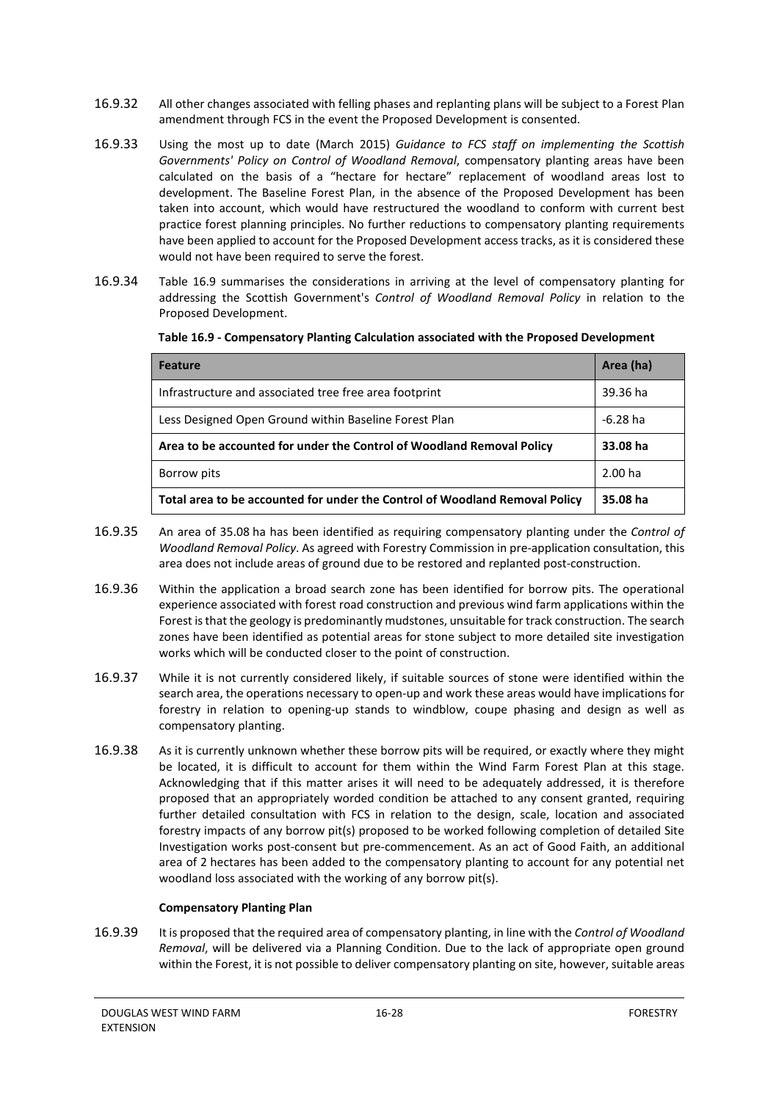- 16.9.32 All other changes associated with felling phases and replanting plans will be subject to a Forest Plan amendment through FCS in the event the Proposed Development is consented.
- 16.9.33 Using the most up to date (March 2015) *Guidance to FCS staff on implementing the Scottish Governments' Policy on Control of Woodland Removal*, compensatory planting areas have been calculated on the basis of a "hectare for hectare" replacement of woodland areas lost to development. The Baseline Forest Plan, in the absence of the Proposed Development has been taken into account, which would have restructured the woodland to conform with current best practice forest planning principles. No further reductions to compensatory planting requirements have been applied to account for the Proposed Development access tracks, as it is considered these would not have been required to serve the forest.
- 16.9.34 Table 16.9 summarises the considerations in arriving at the level of compensatory planting for addressing the Scottish Government's *Control of Woodland Removal Policy* in relation to the Proposed Development.

| <b>Feature</b>                                                              | Area (ha)  |
|-----------------------------------------------------------------------------|------------|
| Infrastructure and associated tree free area footprint                      | 39.36 ha   |
| Less Designed Open Ground within Baseline Forest Plan                       | $-6.28$ ha |
| Area to be accounted for under the Control of Woodland Removal Policy       | 33.08 ha   |
| Borrow pits                                                                 | 2.00 ha    |
| Total area to be accounted for under the Control of Woodland Removal Policy | 35.08 ha   |

#### **Table 16.9 - Compensatory Planting Calculation associated with the Proposed Development**

- 16.9.35 An area of 35.08 ha has been identified as requiring compensatory planting under the *Control of Woodland Removal Policy*. As agreed with Forestry Commission in pre-application consultation, this area does not include areas of ground due to be restored and replanted post-construction.
- 16.9.36 Within the application a broad search zone has been identified for borrow pits. The operational experience associated with forest road construction and previous wind farm applications within the Forest is that the geology is predominantly mudstones, unsuitable for track construction. The search zones have been identified as potential areas for stone subject to more detailed site investigation works which will be conducted closer to the point of construction.
- 16.9.37 While it is not currently considered likely, if suitable sources of stone were identified within the search area, the operations necessary to open-up and work these areas would have implications for forestry in relation to opening-up stands to windblow, coupe phasing and design as well as compensatory planting.
- 16.9.38 As it is currently unknown whether these borrow pits will be required, or exactly where they might be located, it is difficult to account for them within the Wind Farm Forest Plan at this stage. Acknowledging that if this matter arises it will need to be adequately addressed, it is therefore proposed that an appropriately worded condition be attached to any consent granted, requiring further detailed consultation with FCS in relation to the design, scale, location and associated forestry impacts of any borrow pit(s) proposed to be worked following completion of detailed Site Investigation works post-consent but pre-commencement. As an act of Good Faith, an additional area of 2 hectares has been added to the compensatory planting to account for any potential net woodland loss associated with the working of any borrow pit(s).

# **Compensatory Planting Plan**

16.9.39 It is proposed that the required area of compensatory planting, in line with the *Control of Woodland Removal*, will be delivered via a Planning Condition. Due to the lack of appropriate open ground within the Forest, it is not possible to deliver compensatory planting on site, however, suitable areas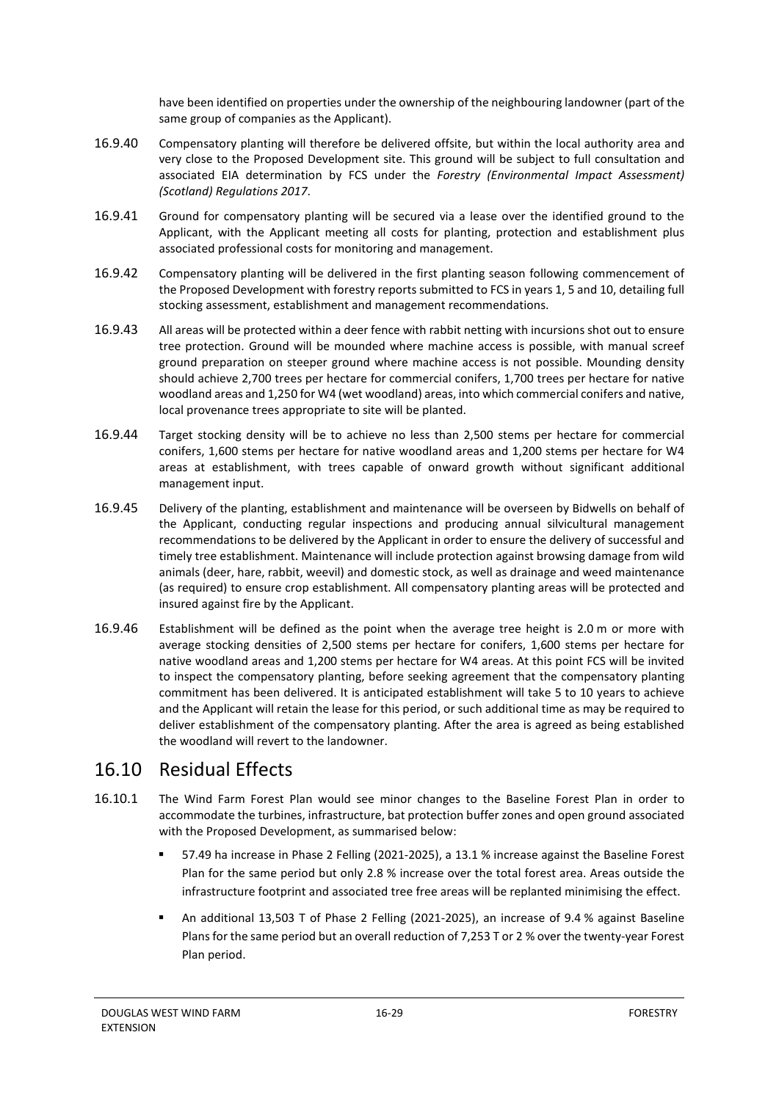have been identified on properties under the ownership of the neighbouring landowner (part of the same group of companies as the Applicant).

- 16.9.40 Compensatory planting will therefore be delivered offsite, but within the local authority area and very close to the Proposed Development site. This ground will be subject to full consultation and associated EIA determination by FCS under the *Forestry (Environmental Impact Assessment) (Scotland) Regulations 2017*.
- 16.9.41 Ground for compensatory planting will be secured via a lease over the identified ground to the Applicant, with the Applicant meeting all costs for planting, protection and establishment plus associated professional costs for monitoring and management.
- 16.9.42 Compensatory planting will be delivered in the first planting season following commencement of the Proposed Development with forestry reports submitted to FCS in years 1, 5 and 10, detailing full stocking assessment, establishment and management recommendations.
- 16.9.43 All areas will be protected within a deer fence with rabbit netting with incursions shot out to ensure tree protection. Ground will be mounded where machine access is possible, with manual screef ground preparation on steeper ground where machine access is not possible. Mounding density should achieve 2,700 trees per hectare for commercial conifers, 1,700 trees per hectare for native woodland areas and 1,250 for W4 (wet woodland) areas, into which commercial conifers and native, local provenance trees appropriate to site will be planted.
- 16.9.44 Target stocking density will be to achieve no less than 2,500 stems per hectare for commercial conifers, 1,600 stems per hectare for native woodland areas and 1,200 stems per hectare for W4 areas at establishment, with trees capable of onward growth without significant additional management input.
- 16.9.45 Delivery of the planting, establishment and maintenance will be overseen by Bidwells on behalf of the Applicant, conducting regular inspections and producing annual silvicultural management recommendations to be delivered by the Applicant in order to ensure the delivery of successful and timely tree establishment. Maintenance will include protection against browsing damage from wild animals (deer, hare, rabbit, weevil) and domestic stock, as well as drainage and weed maintenance (as required) to ensure crop establishment. All compensatory planting areas will be protected and insured against fire by the Applicant.
- 16.9.46 Establishment will be defined as the point when the average tree height is 2.0 m or more with average stocking densities of 2,500 stems per hectare for conifers, 1,600 stems per hectare for native woodland areas and 1,200 stems per hectare for W4 areas. At this point FCS will be invited to inspect the compensatory planting, before seeking agreement that the compensatory planting commitment has been delivered. It is anticipated establishment will take 5 to 10 years to achieve and the Applicant will retain the lease for this period, or such additional time as may be required to deliver establishment of the compensatory planting. After the area is agreed as being established the woodland will revert to the landowner.

# <span id="page-30-0"></span>16.10 Residual Effects

- 16.10.1 The Wind Farm Forest Plan would see minor changes to the Baseline Forest Plan in order to accommodate the turbines, infrastructure, bat protection buffer zones and open ground associated with the Proposed Development, as summarised below:
	- 57.49 ha increase in Phase 2 Felling (2021-2025), a 13.1 % increase against the Baseline Forest Plan for the same period but only 2.8 % increase over the total forest area. Areas outside the infrastructure footprint and associated tree free areas will be replanted minimising the effect.
	- An additional 13,503 T of Phase 2 Felling (2021-2025), an increase of 9.4 % against Baseline Plans for the same period but an overall reduction of 7,253 T or 2 % over the twenty-year Forest Plan period.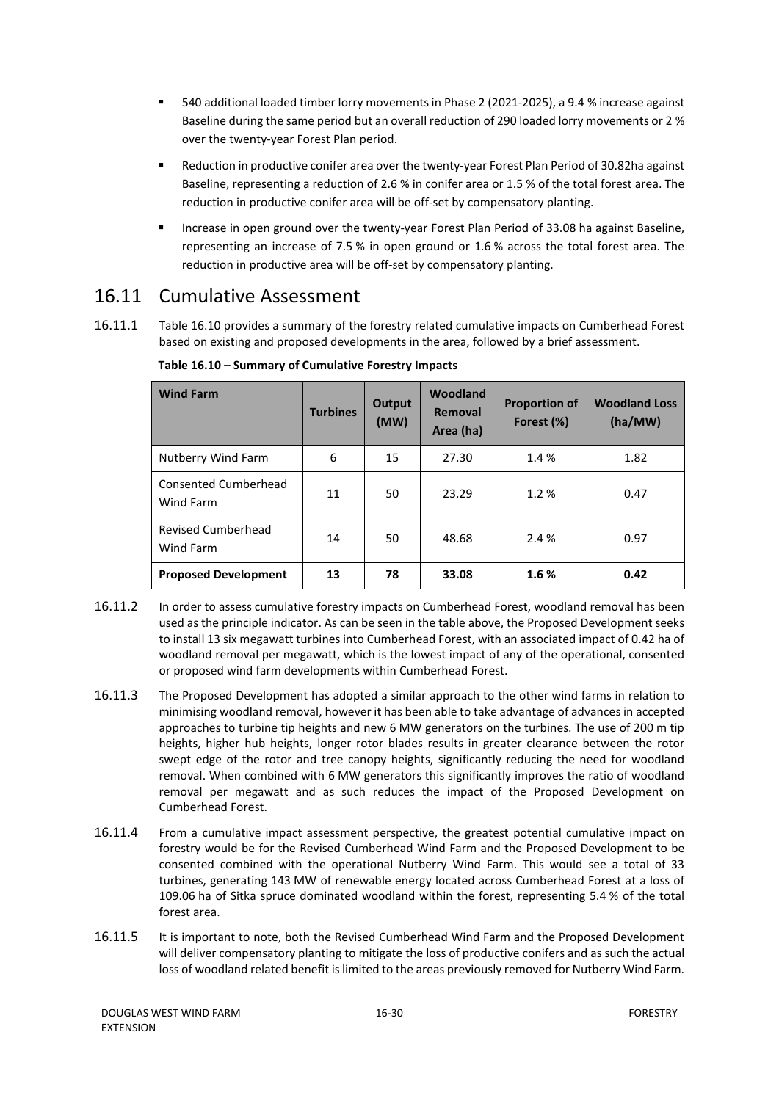- 540 additional loaded timber lorry movements in Phase 2 (2021-2025), a 9.4 % increase against Baseline during the same period but an overall reduction of 290 loaded lorry movements or 2 % over the twenty-year Forest Plan period.
- Reduction in productive conifer area over the twenty-year Forest Plan Period of 30.82ha against Baseline, representing a reduction of 2.6 % in conifer area or 1.5 % of the total forest area. The reduction in productive conifer area will be off-set by compensatory planting.
- Increase in open ground over the twenty-year Forest Plan Period of 33.08 ha against Baseline, representing an increase of 7.5 % in open ground or 1.6 % across the total forest area. The reduction in productive area will be off-set by compensatory planting.

# <span id="page-31-0"></span>16.11 Cumulative Assessment

16.11.1 Table 16.10 provides a summary of the forestry related cumulative impacts on Cumberhead Forest based on existing and proposed developments in the area, followed by a brief assessment.

| <b>Wind Farm</b>                         | <b>Turbines</b> | <b>Output</b><br>(MW) | Woodland<br>Removal<br>Area (ha) | <b>Proportion of</b><br>Forest (%) | <b>Woodland Loss</b><br>(ha/MW) |
|------------------------------------------|-----------------|-----------------------|----------------------------------|------------------------------------|---------------------------------|
| Nutberry Wind Farm                       | 6               | 15                    | 27.30                            | 1.4%                               | 1.82                            |
| <b>Consented Cumberhead</b><br>Wind Farm | 11              | 50                    | 23.29                            | 1.2%                               | 0.47                            |
| Revised Cumberhead<br>Wind Farm          | 14              | 50                    | 48.68                            | 2.4 %                              | 0.97                            |
| <b>Proposed Development</b>              | 13              | 78                    | 33.08                            | 1.6%                               | 0.42                            |

**Table 16.10 – Summary of Cumulative Forestry Impacts**

- 16.11.2 In order to assess cumulative forestry impacts on Cumberhead Forest, woodland removal has been used as the principle indicator. As can be seen in the table above, the Proposed Development seeks to install 13 six megawatt turbines into Cumberhead Forest, with an associated impact of 0.42 ha of woodland removal per megawatt, which is the lowest impact of any of the operational, consented or proposed wind farm developments within Cumberhead Forest.
- 16.11.3 The Proposed Development has adopted a similar approach to the other wind farms in relation to minimising woodland removal, however it has been able to take advantage of advances in accepted approaches to turbine tip heights and new 6 MW generators on the turbines. The use of 200 m tip heights, higher hub heights, longer rotor blades results in greater clearance between the rotor swept edge of the rotor and tree canopy heights, significantly reducing the need for woodland removal. When combined with 6 MW generators this significantly improves the ratio of woodland removal per megawatt and as such reduces the impact of the Proposed Development on Cumberhead Forest.
- 16.11.4 From a cumulative impact assessment perspective, the greatest potential cumulative impact on forestry would be for the Revised Cumberhead Wind Farm and the Proposed Development to be consented combined with the operational Nutberry Wind Farm. This would see a total of 33 turbines, generating 143 MW of renewable energy located across Cumberhead Forest at a loss of 109.06 ha of Sitka spruce dominated woodland within the forest, representing 5.4 % of the total forest area.
- 16.11.5 It is important to note, both the Revised Cumberhead Wind Farm and the Proposed Development will deliver compensatory planting to mitigate the loss of productive conifers and as such the actual loss of woodland related benefit is limited to the areas previously removed for Nutberry Wind Farm.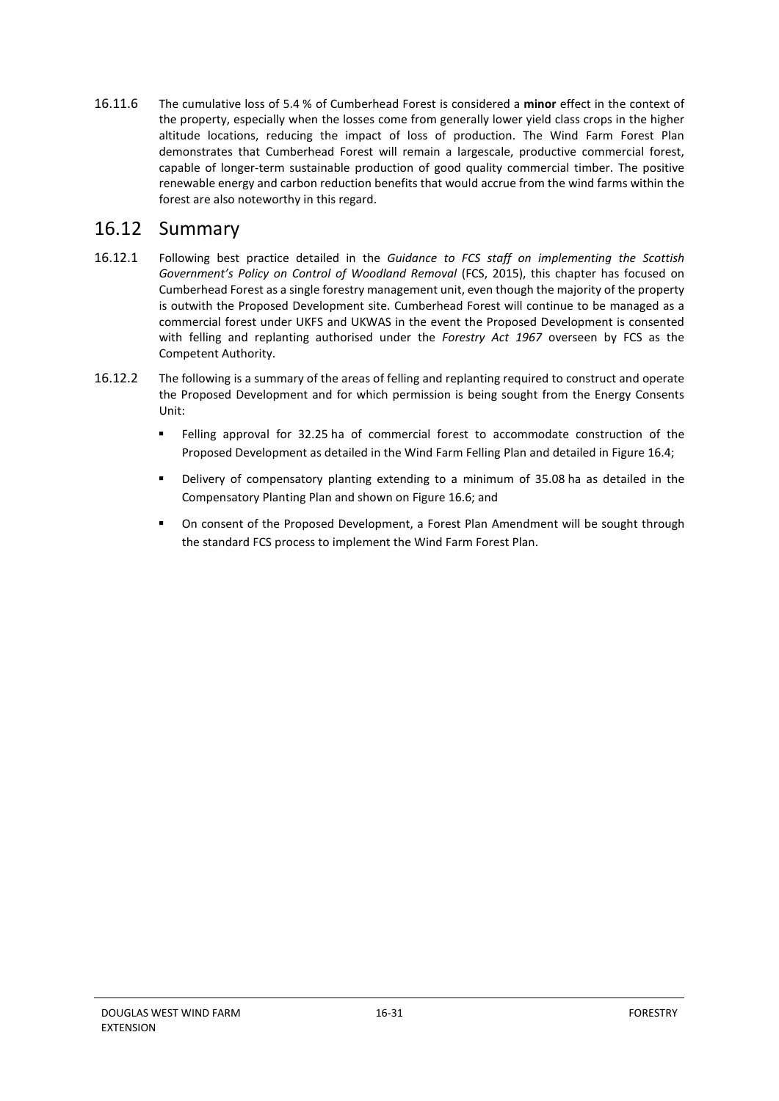16.11.6 The cumulative loss of 5.4 % of Cumberhead Forest is considered a **minor** effect in the context of the property, especially when the losses come from generally lower yield class crops in the higher altitude locations, reducing the impact of loss of production. The Wind Farm Forest Plan demonstrates that Cumberhead Forest will remain a largescale, productive commercial forest, capable of longer-term sustainable production of good quality commercial timber. The positive renewable energy and carbon reduction benefits that would accrue from the wind farms within the forest are also noteworthy in this regard.

# <span id="page-32-0"></span>16.12 Summary

- 16.12.1 Following best practice detailed in the *Guidance to FCS staff on implementing the Scottish Government's Policy on Control of Woodland Removal* (FCS, 2015), this chapter has focused on Cumberhead Forest as a single forestry management unit, even though the majority of the property is outwith the Proposed Development site. Cumberhead Forest will continue to be managed as a commercial forest under UKFS and UKWAS in the event the Proposed Development is consented with felling and replanting authorised under the *Forestry Act 1967* overseen by FCS as the Competent Authority.
- 16.12.2 The following is a summary of the areas of felling and replanting required to construct and operate the Proposed Development and for which permission is being sought from the Energy Consents Unit:
	- Felling approval for 32.25 ha of commercial forest to accommodate construction of the Proposed Development as detailed in the Wind Farm Felling Plan and detailed in Figure 16.4;
	- Delivery of compensatory planting extending to a minimum of 35.08 ha as detailed in the Compensatory Planting Plan and shown on Figure 16.6; and
	- On consent of the Proposed Development, a Forest Plan Amendment will be sought through the standard FCS process to implement the Wind Farm Forest Plan.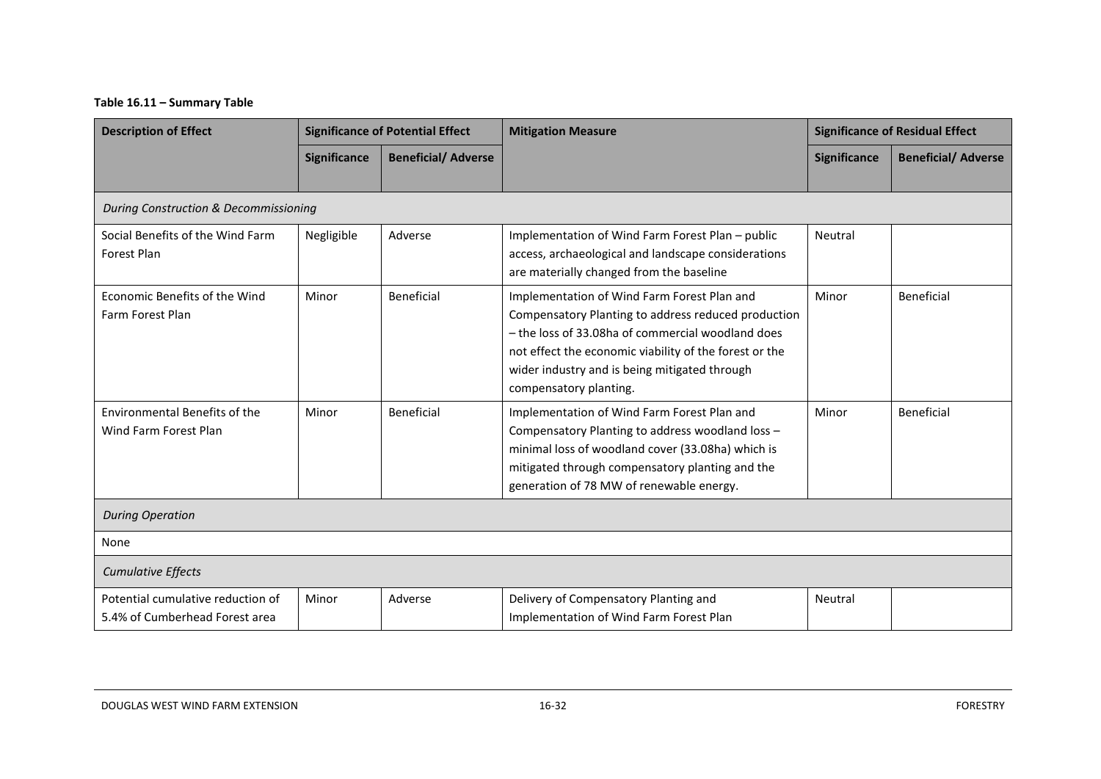#### **Table 16.11 – Summary Table**

| <b>Description of Effect</b>                                        | <b>Significance of Potential Effect</b> |                            | <b>Mitigation Measure</b>                                                                                                                                                                                                                                                                    | <b>Significance of Residual Effect</b> |                            |  |  |  |  |
|---------------------------------------------------------------------|-----------------------------------------|----------------------------|----------------------------------------------------------------------------------------------------------------------------------------------------------------------------------------------------------------------------------------------------------------------------------------------|----------------------------------------|----------------------------|--|--|--|--|
|                                                                     | <b>Significance</b>                     | <b>Beneficial/ Adverse</b> |                                                                                                                                                                                                                                                                                              | <b>Significance</b>                    | <b>Beneficial/ Adverse</b> |  |  |  |  |
|                                                                     |                                         |                            |                                                                                                                                                                                                                                                                                              |                                        |                            |  |  |  |  |
| <b>During Construction &amp; Decommissioning</b>                    |                                         |                            |                                                                                                                                                                                                                                                                                              |                                        |                            |  |  |  |  |
| Social Benefits of the Wind Farm<br><b>Forest Plan</b>              | Negligible                              | Adverse                    | Implementation of Wind Farm Forest Plan - public<br>access, archaeological and landscape considerations<br>are materially changed from the baseline                                                                                                                                          | Neutral                                |                            |  |  |  |  |
| Economic Benefits of the Wind<br>Farm Forest Plan                   | Minor                                   | <b>Beneficial</b>          | Implementation of Wind Farm Forest Plan and<br>Compensatory Planting to address reduced production<br>- the loss of 33.08ha of commercial woodland does<br>not effect the economic viability of the forest or the<br>wider industry and is being mitigated through<br>compensatory planting. | Minor                                  | Beneficial                 |  |  |  |  |
| Environmental Benefits of the<br>Wind Farm Forest Plan              | Minor                                   | Beneficial                 | Implementation of Wind Farm Forest Plan and<br>Compensatory Planting to address woodland loss -<br>minimal loss of woodland cover (33.08ha) which is<br>mitigated through compensatory planting and the<br>generation of 78 MW of renewable energy.                                          | Minor                                  | <b>Beneficial</b>          |  |  |  |  |
| <b>During Operation</b>                                             |                                         |                            |                                                                                                                                                                                                                                                                                              |                                        |                            |  |  |  |  |
| None                                                                |                                         |                            |                                                                                                                                                                                                                                                                                              |                                        |                            |  |  |  |  |
| <b>Cumulative Effects</b>                                           |                                         |                            |                                                                                                                                                                                                                                                                                              |                                        |                            |  |  |  |  |
| Potential cumulative reduction of<br>5.4% of Cumberhead Forest area | Minor                                   | Adverse                    | Delivery of Compensatory Planting and<br>Implementation of Wind Farm Forest Plan                                                                                                                                                                                                             | Neutral                                |                            |  |  |  |  |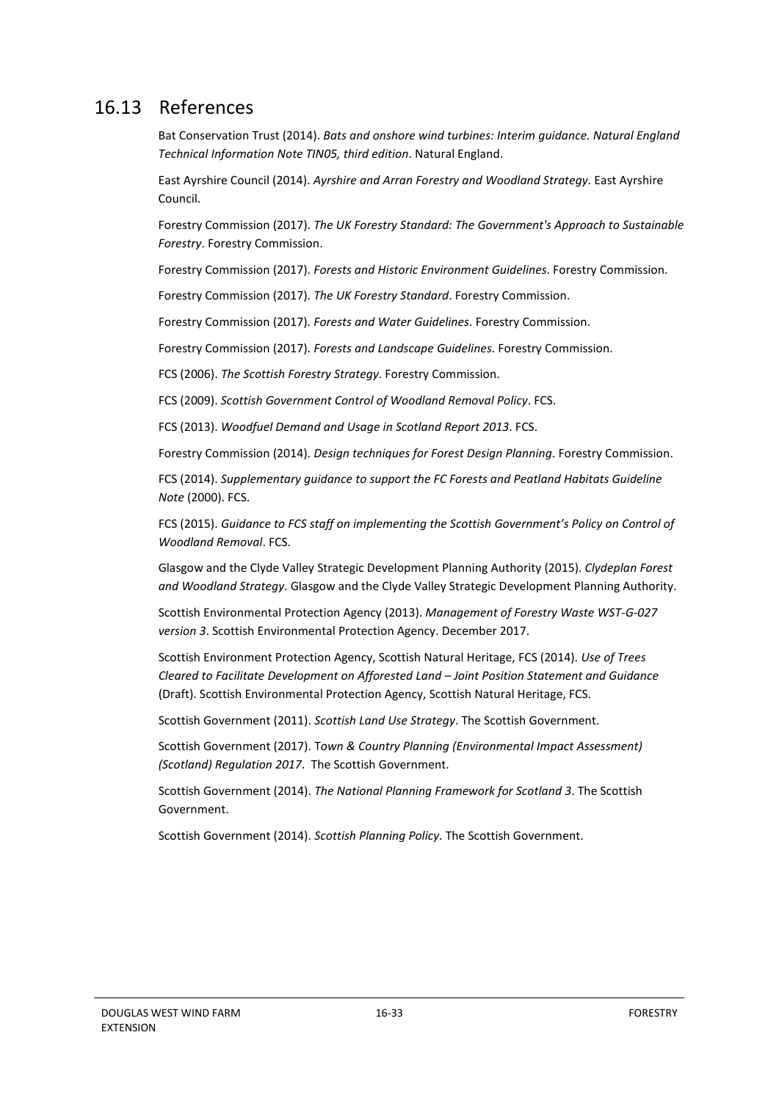# <span id="page-34-0"></span>16.13 References

Bat Conservation Trust (2014). *Bats and onshore wind turbines: Interim guidance. Natural England Technical Information Note TIN05, third edition*. Natural England.

East Ayrshire Council (2014). *Ayrshire and Arran Forestry and Woodland Strategy*. East Ayrshire Council.

Forestry Commission (2017). *The UK Forestry Standard: The Government's Approach to Sustainable Forestry*. Forestry Commission.

Forestry Commission (2017). *Forests and Historic Environment Guidelines*. Forestry Commission.

Forestry Commission (2017). *The UK Forestry Standard*. Forestry Commission.

Forestry Commission (2017). *Forests and Water Guidelines*. Forestry Commission.

Forestry Commission (2017). *Forests and Landscape Guidelines*. Forestry Commission.

FCS (2006). *The Scottish Forestry Strategy*. Forestry Commission.

FCS (2009). *Scottish Government Control of Woodland Removal Policy*. FCS.

FCS (2013). *Woodfuel Demand and Usage in Scotland Report 2013*. FCS.

Forestry Commission (2014). *Design techniques for Forest Design Planning*. Forestry Commission.

FCS (2014). *Supplementary guidance to support the FC Forests and Peatland Habitats Guideline Note* (2000). FCS.

FCS (2015). *Guidance to FCS staff on implementing the Scottish Government's Policy on Control of Woodland Removal*. FCS.

Glasgow and the Clyde Valley Strategic Development Planning Authority (2015). *Clydeplan Forest and Woodland Strategy*. Glasgow and the Clyde Valley Strategic Development Planning Authority.

Scottish Environmental Protection Agency (2013). *Management of Forestry Waste WST-G-027 version 3*. Scottish Environmental Protection Agency. December 2017.

Scottish Environment Protection Agency, Scottish Natural Heritage, FCS (2014). *Use of Trees Cleared to Facilitate Development on Afforested Land – Joint Position Statement and Guidance* (Draft). Scottish Environmental Protection Agency, Scottish Natural Heritage, FCS.

Scottish Government (2011). *Scottish Land Use Strategy*. The Scottish Government.

Scottish Government (2017). T*own & Country Planning (Environmental Impact Assessment) (Scotland) Regulation 2017*. The Scottish Government.

Scottish Government (2014). *The National Planning Framework for Scotland 3*. The Scottish Government.

Scottish Government (2014). *Scottish Planning Policy*. The Scottish Government.